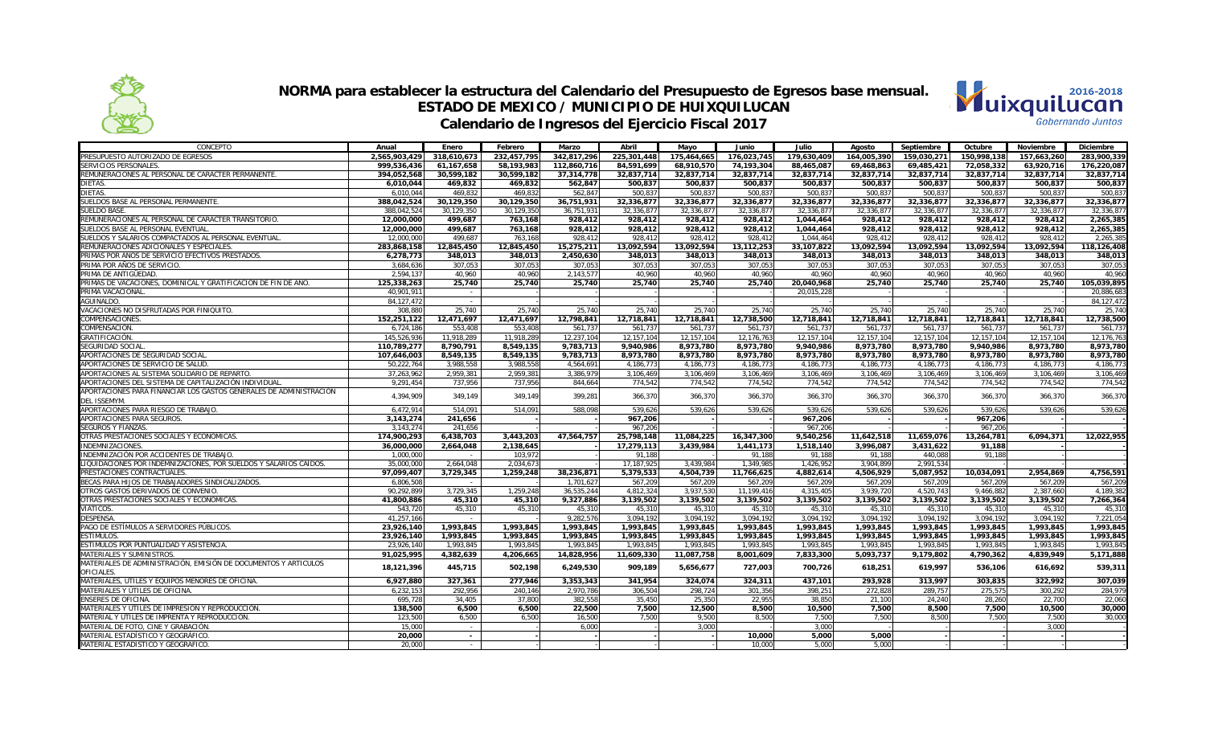



| CONCEPTO                                                                                     | Anual         | Enero       | Febrero     | Marzo       | Abril       | Mayo        | Junio       | Julio        | Agosto      | Septiembre  | Octubre     | Noviembre   | <b>Diciembre</b> |
|----------------------------------------------------------------------------------------------|---------------|-------------|-------------|-------------|-------------|-------------|-------------|--------------|-------------|-------------|-------------|-------------|------------------|
| PRESUPUESTO AUTORIZADO DE EGRESOS                                                            | 2,565,903,429 | 318.610.673 | 232,457,795 | 342.817.296 | 225.301.448 | 175,464,665 | 176,023,745 | 179.630.409  | 164,005,390 | 159,030,271 | 150,998,138 | 157,663,260 | 283.900.339      |
| SERVICIOS PERSONALES.                                                                        | 999,536,436   | 61,167,658  | 58,193,983  | 112,860,716 | 84,591,699  | 68,910,570  | 74,193,304  | 88,465,087   | 69,468,863  | 69,485,421  | 72,058,332  | 63,920,716  | 176,220,087      |
| REMUNERACIONES AL PERSONAL DE CARÁCTER PERMANENTE                                            | 394,052,568   | 30,599,182  | 30,599,182  | 37,314,778  | 32,837,714  | 32,837,714  | 32,837,714  | 32,837,714   | 32,837,714  | 32,837,714  | 32,837,714  | 32,837,714  | 32,837,714       |
| DIETAS.                                                                                      | 6,010,044     | 469,832     | 469,832     | 562,847     | 500,837     | 500,837     | 500,837     | 500,837      | 500,837     | 500,837     | 500,837     | 500,837     | 500,837          |
| DIETAS.                                                                                      | 6,010,044     | 469,832     | 469,832     | 562,847     | 500,837     | 500,837     | 500,837     | 500,837      | 500,837     | 500,837     | 500,837     | 500,837     | 500,83           |
| SUELDOS BASE AL PERSONAL PERMANENTE                                                          | 388.042.524   | 30.129.350  | 30.129.350  | 36.751.931  | 32.336.877  | 32.336.877  | 32.336.877  | 32.336.877   | 32.336.877  | 32.336.877  | 32.336.877  | 32.336.877  | 32.336.877       |
| SUELDO BASE.                                                                                 | 388,042,524   | 30,129,350  | 30.129.350  | 36,751,931  | 32.336.877  | 32,336,877  | 32,336,877  | 32,336,877   | 32,336,877  | 32,336,877  | 32,336,877  | 32,336,877  | 32,336,87        |
| REMUNERACIONES AL PERSONAL DE CARÁCTER TRANSITORIO.                                          | 12,000,000    | 499,687     | 763,168     | 928,412     | 928,412     | 928,412     | 928,412     | 1,044,464    | 928,412     | 928,412     | 928,412     | 928,412     | 2,265,385        |
| SUELDOS BASE AL PERSONAL EVENTUAL                                                            | 12,000,000    | 499,687     | 763,168     | 928,412     | 928,412     | 928,412     | 928,412     | 1,044,464    | 928,412     | 928,412     | 928,412     | 928,412     | 2,265,385        |
| SUELDOS Y SALARIOS COMPACTADOS AL PERSONAL EVENTUAL                                          | 12,000,000    | 499.687     | 763,168     | 928.412     | 928.412     | 928.412     | 928,412     | 1.044.464    | 928.412     | 928.412     | 928,412     | 928.412     | 2,265,38         |
| REMUNERACIONES ADICIONALES Y ESPECIALES                                                      | 283,868,158   | 12,845,450  | 12,845,450  | 15,275,211  | 13,092,594  | 13,092,594  | 13,112,253  | 33,107,822   | 13.092.594  | 13,092,594  | 13,092,594  | 13,092,594  | 118,126,408      |
| PRIMAS POR AÑOS DE SERVICIO EFECTIVOS PRESTADOS.                                             | 6.278.773     | 348.013     | 348.013     | 2.450.630   | 348.013     | 348.013     | 348.013     | 348.013      | 348.013     | 348.013     | 348.013     | 348.013     | 348.013          |
| PRIMA POR AÑOS DE SERVICIO.                                                                  | 3,684,636     | 307,053     | 307,053     | 307,053     | 307,053     | 307,053     | 307.053     | 307,053      | 307,053     | 307.053     | 307,053     | 307,053     | 307,053          |
| PRIMA DE ANTIGÜEDAD.                                                                         | 2,594,137     | 40,960      | 40,960      | 2,143,577   | 40,960      | 40,960      | 40,960      | 40.960       | 40,960      | 40,960      | 40,960      | 40,960      | 40,960           |
| PRIMAS DE VACACIONES. DOMINICAL Y GRATIFICACIÓN DE FIN DE AÑO.                               | 125.338.263   | 25.740      | 25.740      | 25.740      | 25.740      | 25.740      | 25.740      | 20.040.968   | 25.740      | 25.740      | 25.740      | 25.740      | 105.039.895      |
| PRIMA VACACIONAL                                                                             | 40.901.911    | $\sim$      |             |             |             |             |             | 20.015.228   |             |             |             |             | 20,886,683       |
| <b>AGUINALDO</b>                                                                             | 84, 127, 472  | $\sim$      |             |             |             |             |             |              |             |             |             |             | 84, 127, 472     |
| VACACIONES NO DISFRUTADAS POR FINIQUITO                                                      | 308.880       | 25.740      | 25.740      | 25.740      | 25.740      | 25.740      | 25.740      | 25.740       | 25.740      | 25.740      | 25.740      | 25.740      | 25,740           |
| <b>COMPENSACIONES</b>                                                                        | 152.251.122   | 12,471,697  | 12.471.697  | 12.798.841  | 12.718.841  | 12,718,841  | 12,738,500  | 12,718,841   | 12.718.841  | 12.718.841  | 12.718.841  | 12.718.841  | 12,738,500       |
| COMPENSACIÓN.                                                                                | 6,724,186     | 553,408     | 553.408     | 561.737     | 561.737     | 561,737     | 561.737     | 561.737      | 561.737     | 561.737     | 561,737     | 561,737     | 561,737          |
| GRATIFICACIÓN.                                                                               | 145.526.936   | 11,918,289  | 11.918.289  | 12.237.104  | 12.157.104  | 12.157.104  | 12,176,763  | 12, 157, 104 | 12.157.104  | 12.157.104  | 12.157.104  | 12.157.104  | 12,176,763       |
| SEGURIDAD SOCIAL                                                                             | 110,789,277   | 8,790,791   | 8,549,135   | 9,783,713   | 9,940,986   | 8,973,780   | 8,973,780   | 9,940,986    | 8,973,780   | 8,973,780   | 9,940,986   | 8,973,780   | 8,973,780        |
| APORTACIONES DE SEGURIDAD SOCIAL                                                             | 107.646.003   | 8,549,135   | 8.549.135   | 9.783.713   | 8.973.780   | 8.973.780   | 8.973.780   | 8.973.780    | 8.973.780   | 8.973.780   | 8.973.780   | 8.973.780   | 8.973.780        |
| APORTACIONES DE SERVICIO DE SALUD                                                            | 50,222,764    | 3,988,558   | 3.988.558   | 4.564.691   | 4.186.773   | 4.186.773   | 4.186.773   | 4.186.773    | 4.186.773   | 4.186.773   | 4,186,773   | 4,186,773   | 4,186,773        |
| APORTACIONES AL SISTEMA SOLIDARIO DE REPARTO.                                                | 37,263,962    | 2,959,381   | 2,959,381   | 3,386,979   | 3,106,469   | 3,106,469   | 3,106,469   | 3,106,469    | 3.106.469   | 3,106,469   | 3,106,469   | 3,106,469   | 3,106,469        |
| APORTACIONES DEL SISTEMA DE CAPITALIZACIÓN INDIVIDUAL                                        | 9,291,454     | 737,956     | 737,956     | 844,664     | 774,542     | 774,542     | 774,542     | 774,542      | 774,542     | 774,542     | 774,542     | 774,542     | 774,542          |
| APORTACIONES PARA FINANCIAR LOS GASTOS GENERALES DE ADMINISTRACIÓN<br>DEL ISSEMYM.           | 4,394,909     | 349,149     | 349,149     | 399,281     | 366,370     | 366,370     | 366,370     | 366,370      | 366,370     | 366,370     | 366,370     | 366,370     | 366,370          |
| APORTACIONES PARA RIESGO DE TRABAJO                                                          | 6,472,914     | 514.091     | 514.091     | 588.098     | 539.626     | 539.626     | 539,626     | 539.626      | 539.626     | 539.626     | 539,626     | 539.626     | 539.626          |
| APORTACIONES PARA SEGUROS.                                                                   | 3,143,274     | 241,656     |             |             | 967,206     |             |             | 967,206      |             |             | 967,206     |             |                  |
| SEGUROS Y FIANZAS.                                                                           | 3, 143, 274   | 241,656     |             |             | 967,206     |             |             | 967,206      |             |             | 967.206     |             |                  |
| OTRAS PRESTACIONES SOCIALES Y ECONÓMICAS.                                                    | 174.900.293   | 6.438.703   | 3.443.203   | 47.564.757  | 25.798.148  | 11.084.225  | 16.347.300  | 9.540.256    | 11.642.518  | 11.659.076  | 13.264.781  | 6.094.371   | 12.022.955       |
| NDEMNIZACIONES.                                                                              | 36,000,000    | 2,664,048   | 2,138,645   |             | 17,279,113  | 3.439.984   | 1,441,173   | 1,518,140    | 3,996,087   | 3,431,622   | 91,188      |             |                  |
| INDEMNIZACIÓN POR ACCIDENTES DE TRABAJO.                                                     | 1,000,000     |             | 103.972     |             | 91,188      |             | 91,188      | 91,188       | 91.188      | 440,088     | 91,188      |             |                  |
| LIQUIDACIONES POR INDEMNIZACIONES, POR SUELDOS Y SALARIOS CAÍDOS.                            | 35,000,000    | 2,664,048   | 2.034.673   |             | 17,187,925  | 3,439,984   | 1,349,985   | 1,426,952    | 3.904.899   | 2,991,534   |             |             |                  |
| PRESTACIONES CONTRACTUALES.                                                                  | 97,099,407    | 3,729,345   | 1,259,248   | 38,236,871  | 5,379,533   | 4,504,739   | 11,766,625  | 4,882,614    | 4,506,929   | 5,087,952   | 10,034,091  | 2,954,869   | 4,756,591        |
| BECAS PARA HIJOS DE TRABAJADORES SINDICALIZADOS.                                             | 6.806.508     |             |             | 1.701.627   | 567.209     | 567.209     | 567.209     | 567.209      | 567.209     | 567.209     | 567.209     | 567.209     | 567.209          |
| OTROS GASTOS DERIVADOS DE CONVENIO                                                           | 90,292,899    | 3,729,345   | 1,259,248   | 36.535.244  | 4.812.324   | 3,937,530   | 11.199.416  | 4.315.405    | 3.939.720   | 4,520,743   | 9.466.882   | 2.387.660   | 4.189.382        |
| OTRAS PRESTACIONES SOCIALES Y ECONÓMICAS.                                                    | 41,800,886    | 45,310      | 45,310      | 9,327,886   | 3,139,502   | 3,139,502   | 3,139,502   | 3,139,502    | 3,139,502   | 3,139,502   | 3,139,502   | 3,139,502   | 7,266,364        |
| VIÁTICOS.                                                                                    | 543,720       | 45,310      | 45,310      | 45,310      | 45,310      | 45,310      | 45,310      | 45,310       | 45,310      | 45,310      | 45,310      | 45,310      | 45,310           |
| <b>DESPENSA</b>                                                                              | 41,257,166    | $\sim$      |             | 9.282.576   | 3.094.192   | 3.094.192   | 3.094.192   | 3.094.192    | 3.094.192   | 3.094.192   | 3.094.192   | 3.094.192   | 7.221.054        |
| PAGO DE ESTÍMULOS A SERVIDORES PÚBLICOS.                                                     | 23,926,140    | 1,993,845   | 1,993,845   | 1,993,845   | 1,993,845   | 1,993,845   | 1,993,845   | 1,993,845    | 1,993,845   | 1,993,845   | 1,993,845   | 1,993,845   | 1.993.845        |
| ESTÍMULOS.                                                                                   | 23,926,140    | 1.993.845   | 1,993,845   | 1,993,845   | 1,993,845   | 1,993,845   | 1,993,845   | 1,993,845    | 1.993.845   | 1,993,845   | 1,993,845   | 1,993,845   | 1.993.845        |
| ESTÍMULOS POR PUNTUALIDAD Y ASISTENCIA                                                       | 23.926.140    | 1.993.845   | 1.993.845   | 1.993.845   | 1.993.845   | 1.993.845   | 1.993.845   | 1.993.845    | 1.993.845   | 1.993.845   | 1,993,845   | 1,993,845   | 1.993.845        |
| MATERIALES Y SUMINISTROS.<br>MATERIALES DE ADMINISTRACIÓN, EMISIÓN DE DOCUMENTOS Y ARTICULOS | 91,025,995    | 4,382,639   | 4,206,665   | 14,828,956  | 11,609,330  | 11,087,758  | 8,001,609   | 7,833,300    | 5,093,737   | 9,179,802   | 4,790,362   | 4,839,949   | 5.171.888        |
| OFICIALES                                                                                    | 18,121,396    | 445,715     | 502,198     | 6,249,530   | 909,189     | 5,656,677   | 727,003     | 700,726      | 618,251     | 619,997     | 536,106     | 616,692     | 539,311          |
| MATERIALES, ÚTILES Y EQUIPOS MENORES DE OFICINA.                                             | 6,927,880     | 327,361     | 277,946     | 3,353,343   | 341,954     | 324,074     | 324,311     | 437,101      | 293,928     | 313,997     | 303,835     | 322,992     | 307,039          |
| MATERIALES Y ÚTILES DE OFICINA.                                                              | 6.232.153     | 292,956     | 240.146     | 2.970.786   | 306.504     | 298.724     | 301.356     | 398.251      | 272.828     | 289.757     | 275.575     | 300.292     | 284.979          |
| <b>ENSERES DE OFICINA.</b>                                                                   | 695.728       | 34.405      | 37.800      | 382.558     | 35.450      | 25.350      | 22.955      | 38.850       | 21.100      | 24,240      | 28.260      | 22.700      | 22.060           |
| MATERIALES Y ÚTILES DE IMPRESIÓN Y REPRODUCCIÓN.                                             | 138,500       | 6,500       | 6,500       | 22,500      | 7,500       | 12,500      | 8,500       | 10,500       | 7,500       | 8,500       | 7,500       | 10,500      | 30,000           |
| MATERIAL Y ÚTILES DE IMPRENTA Y REPRODUCCIÓN                                                 | 123,500       | 6,500       | 6,500       | 16,500      | 7,500       | 9,500       | 8,500       | 7,500        | 7,500       | 8,500       | 7,500       | 7,500       | 30,000           |
| MATERIAL DE FOTO, CINE Y GRABACIÓN.                                                          | 15,000        | $\sim$      |             | 6,000       |             | 3,000       |             | 3.000        |             |             |             | 3,000       |                  |
| MATERIAL ESTADÍSTICO Y GEOGRÁFICO.                                                           | 20.000        | $\sim$      |             |             |             |             | 10.000      | 5.000        | 5.000       |             |             |             |                  |
| MATERIAL ESTADÍSTICO Y GEOGRÁFICO.                                                           | 20,000        |             |             |             |             |             | 10.000      | 5.000        | 5.000       |             |             |             |                  |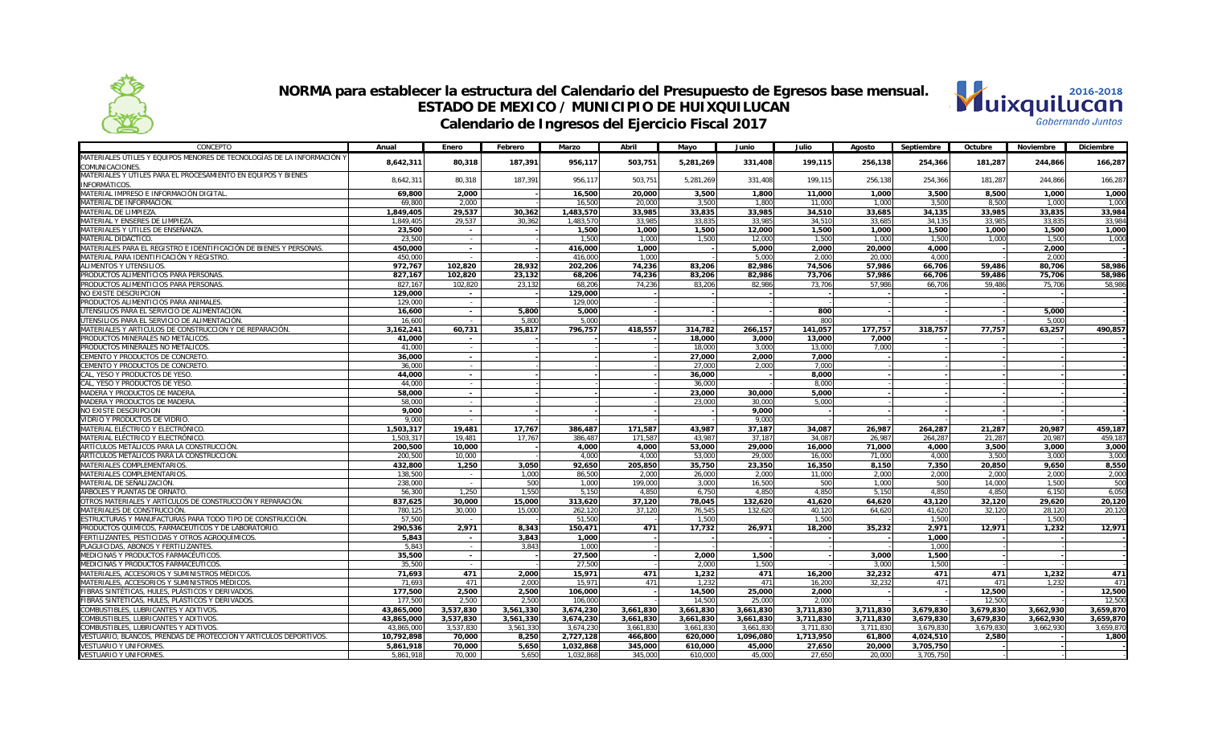

#### **NORMA para establecer la estructura del Calendario del Presupuesto de Egresos base mensual. ESTADO DE MEXICO / MUNICIPIO DE HUIXQUILUCAN Calendario de Ingresos del Ejercicio Fiscal 2017**



| CONCEPTO                                                                               | Anual              | Enero           | Febrero        | Marzo          | Abril          | Mayo             | Junio           | Julio            | Agosto          | Septiembre     | Octubre         | Noviembre      | Diciembre      |
|----------------------------------------------------------------------------------------|--------------------|-----------------|----------------|----------------|----------------|------------------|-----------------|------------------|-----------------|----------------|-----------------|----------------|----------------|
| MATERIALES ÚTILES Y EQUIPOS MENORES DE TECNOLOGÍAS DE LA INFORMACIÓN Y                 | 8,642,311          | 80,318          | 187,391        | 956,117        | 503,751        | 5,281,269        | 331,408         | 199,115          | 256,138         | 254,366        | 181,287         | 244,866        | 166,287        |
| <b>COMUNICACIONES</b>                                                                  |                    |                 |                |                |                |                  |                 |                  |                 |                |                 |                |                |
| MATERIALES Y ÚTILES PARA EL PROCESAMIENTO EN EQUIPOS Y BIENES                          | 8,642,311          | 80,318          | 187,391        | 956,117        | 503,751        | 5,281,269        | 331,408         | 199,115          | 256,138         | 254,366        | 181,287         | 244,866        | 166,287        |
| INFORMÁTICOS.                                                                          |                    |                 |                |                |                |                  |                 |                  |                 |                |                 |                |                |
| MATERIAL IMPRESO E INFORMACIÓN DIGITAL                                                 | 69.800             | 2.000           |                | 16,500         | 20,000         | 3,500            | 1,800           | 11.000           | 1.000           | 3.500          | 8.500           | 1,000          | 1,000          |
| MATERIAL DE INFORMACIÓN.                                                               | 69,800             | 2,000           |                | 16,500         | 20,000         | 3,500            | 1,800           | 11,000           | 1,000           | 3,500          | 8,500           | 1,000          | 1,000          |
| MATERIAL DE LIMPIEZA.                                                                  | 1,849,405          | 29,537          | 30,362         | 1,483,570      | 33,985         | 33,835           | 33,985          | 34,510           | 33,685          | 34,135         | 33,985          | 33,835         | 33,984         |
| MATERIAL Y ENSERES DE LIMPIEZA.                                                        | 1,849,405          | 29,537          | 30,362         | 1,483,570      | 33,985         | 33,835           | 33,985          | 34,510           | 33,685          | 34,135         | 33,985          | 33,835         | 33,984         |
| MATERIALES Y ÚTILES DE ENSEÑANZA                                                       | 23,500             | $\sim$          |                | 1,500          | 1,000          | 1,500            | 12,000          | 1,500            | 1,000           | 1,500          | 1,000           | 1,500          | 1,000          |
| MATERIAL DIDÁCTICO.                                                                    | 23.500             | $\sim$          |                | 1.500          | 1.000          | 1,500            | 12,000          | 1.500            | 1.000           | 1.500          | 1,000           | 1.500          | 1,000          |
| MATERIALES PARA EL REGISTRO E IDENTIFICACIÓN DE BIENES Y PERSONAS.                     | 450,000            | $\sim$          |                | 416,000        | 1,000          |                  | 5,000           | 2.000            | 20,000          | 4.000          |                 | 2,000          |                |
| MATERIAL PARA IDENTIFICACIÓN Y REGISTRO.                                               | 450.000            | $\sim$          |                | 416,000        | 1,000          |                  | 5,000           | 2,000            | 20,000          | 4,000          |                 | 2.000          |                |
| ALIMENTOS Y UTENSILIOS.                                                                | 972.767            | 102.820         | 28.932         | 202.206        | 74.236         | 83.206           | 82.986          | 74.506           | 57.986          | 66.706         | 59.486          | 80.706         | 58.986         |
| PRODUCTOS ALIMENTICIOS PARA PERSONAS.                                                  | 827,167            | 102,820         | 23,132         | 68,206         | 74,236         | 83,206           | 82,986          | 73,706           | 57,986          | 66,706         | 59,486          | 75,706         | 58,986         |
| PRODUCTOS ALIMENTICIOS PARA PERSONAS.                                                  | 827,167            | 102.820         | 23.132         | 68,206         | 74.236         | 83.206           | 82,986          | 73.706           | 57.986          | 66,706         | 59,486          | 75.706         | 58,986         |
| NO EXISTE DESCRIPCION                                                                  | 129,000            | $\sim$          |                | 129,000        |                |                  |                 |                  |                 |                |                 |                |                |
| PRODUCTOS ALIMENTICIOS PARA ANIMALES                                                   | 129,000            | $\sim$          |                | 129,000        |                |                  |                 |                  |                 |                |                 |                |                |
| UTENSILIOS PARA EL SERVICIO DE ALIMENTACIÓN.                                           | 16.600             | $\sim$          | 5.800          | 5.000          |                |                  |                 | 800              |                 |                |                 | 5.000          |                |
| UTENSILIOS PARA EL SERVICIO DE ALIMENTACIÓN.                                           | 16,600             | $\sim$          | 5,800          | 5,000          |                |                  |                 | 800              |                 |                |                 | 5,000          |                |
| MATERIALES Y ARTICULOS DE CONSTRUCCION Y DE REPARACIÓN.                                | 3,162,241          | 60,731          | 35,817         | 796,757        | 418,557        | 314.782          | 266,157         | 141.057          | 177.757         | 318,757        | 77.757          | 63,257         | 490,857        |
| PRODUCTOS MINERALES NO METÁLICOS.                                                      | 41.000             | $\sim$          |                |                |                | 18,000           | 3,000           | 13,000           | 7.000           |                |                 |                |                |
| PRODUCTOS MINERALES NO METÁLICOS.                                                      | 41.000             | $\sim$          |                |                |                | 18,000           | 3,000           | 13,000           | 7,000           |                |                 |                |                |
| CEMENTO Y PRODUCTOS DE CONCRETO.                                                       | 36,000             | $\sim$          |                |                |                | 27,000           | 2,000           | 7,000            |                 |                |                 |                |                |
| CEMENTO Y PRODUCTOS DE CONCRETO.                                                       | 36,000             | $\sim$          |                |                |                | 27,000           | 2,000           | 7,000            |                 |                |                 |                |                |
| CAL, YESO Y PRODUCTOS DE YESO.                                                         | 44,000             | $\sim$          |                |                |                | 36,000           |                 | 8,000            |                 |                |                 |                |                |
| CAL, YESO Y PRODUCTOS DE YESO                                                          | 44.000             | $\sim$          |                |                |                | 36,000           |                 | 8,000            |                 |                |                 |                |                |
| MADERA Y PRODUCTOS DE MADERA.                                                          | 58,000             | $\sim$          |                |                |                | 23,000           | 30,000          | 5.000            |                 |                |                 |                |                |
| MADERA Y PRODUCTOS DE MADERA.                                                          | 58,000             | $\sim$          |                |                |                | 23,000           | 30,000          | 5.000            |                 |                |                 |                |                |
| NO EXISTE DESCRIPCION                                                                  | 9.000              | $\sim$          |                |                |                |                  | 9.000           |                  |                 |                |                 |                |                |
| VIDRIO Y PRODUCTOS DE VIDRIO.                                                          | 9.000              | $\sim$          |                |                |                |                  | 9,000           |                  |                 |                |                 |                |                |
| MATERIAL ELÉCTRICO Y ELECTRÓNICO.                                                      | 1,503,317          | 19,481          | 17,767         | 386,487        | 171,587        | 43,987           | 37,187          | 34,087           | 26,987          | 264,287        | 21,287          | 20,987         | 459,187        |
| MATERIAL ELÉCTRICO Y ELECTRÓNICO                                                       | 1,503,317          | 19,481          | 17,767         | 386,487        | 171,587        | 43,987           | 37,187          | 34,087           | 26,987          | 264,287        | 21,287          | 20,987         | 459,187        |
| ARTÍCULOS METÁLICOS PARA LA CONSTRUCCIÓN.<br>ARTÍCULOS METÁLICOS PARA LA CONSTRUCCIÓN. | 200,500            | 10.000          |                | 4,000<br>4.000 | 4,000<br>4.000 | 53,000           | 29,000          | 16.000           | 71.000          | 4.000          | 3,500           | 3,000<br>3.000 | 3,000          |
| MATERIALES COMPLEMENTARIOS.                                                            | 200,500<br>432,800 | 10,000<br>1,250 |                | 92,650         | 205,850        | 53,000           | 29,000          | 16.000<br>16,350 | 71.000<br>8.150 | 4.000<br>7,350 | 3.500<br>20,850 | 9,650          | 3,000<br>8,550 |
| MATERIALES COMPLEMENTARIOS.                                                            | 138,500            | $\sim$          | 3,050<br>1.000 | 86,500         | 2.000          | 35,750<br>26,000 | 23,350<br>2,000 | 11,000           | 2.000           | 2.000          | 2,000           | 2.000          | 2,000          |
| MATERIAL DE SEÑALIZACIÓN.                                                              | 238,000            | $\sim$          | 500            | 1.000          | 199.000        | 3.000            | 16.500          | 500              | 1.000           | 500            | 14,000          | 1.500          | 500            |
| ÁRBOLES Y PLANTAS DE ORNATO.                                                           | 56,300             | 1,250           | 1,550          | 5,150          | 4,850          | 6,750            | 4,850           | 4,850            | 5,150           | 4,850          | 4,850           | 6,150          | 6,050          |
| OTROS MATERIALES Y ARTÍCULOS DE CONSTRUCCIÓN Y REPARACIÓN.                             | 837,625            | 30,000          | 15,000         | 313,620        | 37,120         | 78,045           | 132,620         | 41,620           | 64,620          | 43,120         | 32,120          | 29,620         | 20,120         |
| MATERIALES DE CONSTRUCCIÓN.                                                            | 780,125            | 30,000          | 15,000         | 262,120        | 37,120         | 76,545           | 132,620         | 40.120           | 64.620          | 41,620         | 32.120          | 28,120         | 20,120         |
| ESTRUCTURAS Y MANUFACTURAS PARA TODO TIPO DE CONSTRUCCIÓN.                             | 57.500             | $\sim$          |                | 51.500         |                | 1.500            |                 | 1.500            |                 | 1.500          |                 | 1.500          |                |
| PRODUCTOS QUIMICOS, FARMACEUTICOS Y DE LABORATORIO.                                    | 290,536            | 2,971           | 8.343          | 150,471        | 471            | 17,732           | 26,971          | 18,200           | 35.232          | 2,971          | 12,971          | 1,232          | 12,971         |
| FERTILIZANTES, PESTICIDAS Y OTROS AGROQUÍMICOS.                                        | 5,843              | $\sim$          | 3,843          | 1,000          |                |                  |                 |                  |                 | 1.000          |                 |                |                |
| PLAGUICIDAS. ABONOS Y FERTILIZANTES.                                                   | 5.843              | $\sim$          | 3.843          | 1.000          |                |                  |                 |                  |                 | 1.000          |                 |                |                |
| MEDICINAS Y PRODUCTOS FARMACÉUTICOS                                                    | 35,500             | $\sim$          |                | 27.500         |                | 2.000            | 1,500           |                  | 3.000           | 1.500          |                 |                |                |
| MEDICINAS Y PRODUCTOS FARMACÉUTICOS.                                                   | 35,500             | $\sim$          |                | 27,500         |                | 2,000            | 1,500           |                  | 3,000           | 1,500          |                 |                |                |
| MATERIALES, ACCESORIOS Y SUMINISTROS MÉDICOS.                                          | 71,693             | 471             | 2,000          | 15,971         | 471            | 1,232            | 471             | 16,200           | 32,232          | 471            | 471             | 1,232          | 471            |
| MATERIALES, ACCESORIOS Y SUMINISTROS MÉDICOS.                                          | 71,693             | 471             | 2,000          | 15,971         | 471            | 1,232            | 471             | 16,200           | 32,232          | 471            | 471             | 1,232          | 471            |
| IBRAS SINTÉTICAS, HULES, PLÁSTICOS Y DERIVADOS                                         | 177,500            | 2,500           | 2.500          | 106,000        |                | 14,500           | 25,000          | 2.000            |                 |                | 12,500          |                | 12,500         |
| FIBRAS SINTÉTICAS, HULES, PLÁSTICOS Y DERIVADOS.                                       | 177.500            | 2,500           | 2.500          | 106,000        |                | 14,500           | 25,000          | 2,000            |                 |                | 12,500          |                | 12,500         |
| COMBUSTIBLES, LUBRICANTES Y ADITIVOS                                                   | 43,865,000         | 3,537,830       | 3,561,330      | 3,674,230      | 3,661,830      | 3,661,830        | 3,661,830       | 3,711,830        | 3,711,830       | 3.679.830      | 3.679.830       | 3,662,930      | 3,659,870      |
| COMBUSTIBLES. LUBRICANTES Y ADITIVOS                                                   | 43,865,000         | 3,537,830       | 3,561,330      | 3,674,230      | 3,661,830      | 3,661,830        | 3,661,830       | 3.711.830        | 3.711.830       | 3.679.830      | 3,679,830       | 3,662,930      | 3,659,870      |
| COMBUSTIBLES, LUBRICANTES Y ADITIVOS                                                   | 43,865,000         | 3,537,830       | 3.561.330      | 3.674.230      | 3,661,830      | 3,661,830        | 3,661,830       | 3.711.830        | 3.711.830       | 3.679.830      | 3.679.830       | 3.662.930      | 3,659,870      |
| VESTUARIO, BLANCOS, PRENDAS DE PROTECCION Y ARTICULOS DEPORTIVOS.                      | 10,792,898         | 70,000          | 8,250          | 2,727,128      | 466,800        | 620,000          | 1,096,080       | 1,713,950        | 61,800          | 4,024,510      | 2,580           |                | 1,800          |
| <b>VESTUARIO Y UNIFORMES</b>                                                           | 5,861,918          | 70,000          | 5,650          | 1,032,868      | 345,000        | 610,000          | 45,000          | 27,650           | 20,000          | 3,705,750      |                 |                |                |
| <b>VESTUARIO Y UNIFORMES</b>                                                           | 5,861,918          | 70.000          | 5.650          | 1.032.868      | 345,000        | 610,000          | 45,000          | 27,650           | 20,000          | 3,705,750      |                 |                |                |
|                                                                                        |                    |                 |                |                |                |                  |                 |                  |                 |                |                 |                |                |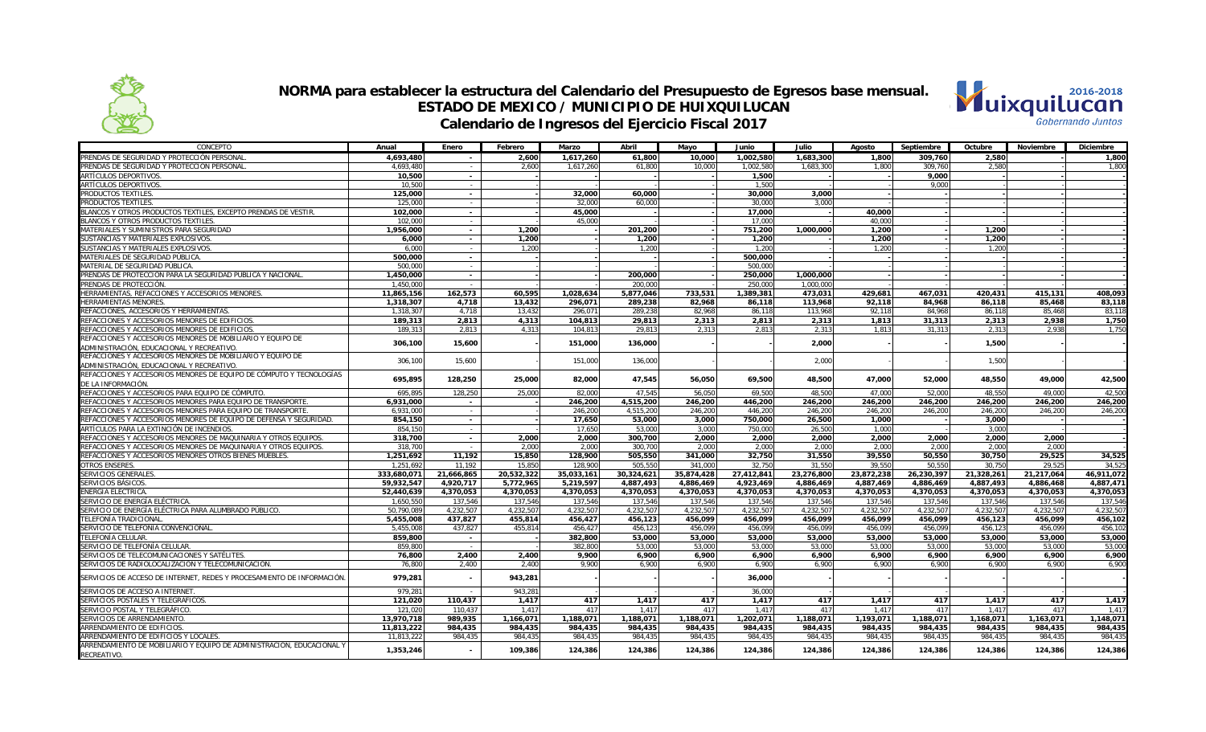



| CONCEPTO                                                                             | Anual       | Enero                    | Febrero    | Marzo      | Abril      | Mayo           | Junio      | Julio      | Agosto     | Septiembre | Octubre    | Noviembre  | <b>Diciembre</b> |
|--------------------------------------------------------------------------------------|-------------|--------------------------|------------|------------|------------|----------------|------------|------------|------------|------------|------------|------------|------------------|
| PRENDAS DE SEGURIDAD Y PROTECCIÓN PERSONAL                                           | 4.693.480   |                          | 2.600      | 1.617.260  | 61.800     | 10,000         | 1,002,580  | 1.683.300  | 1.800      | 309.760    | 2,580      |            | 1.800            |
| PRENDAS DE SEGURIDAD Y PROTECCIÓN PERSONAL                                           | 4,693,480   | $\sim$                   | 2.600      | 1,617,260  | 61.800     | 10.000         | 1,002,580  | 1.683.300  | 1.800      | 309.760    | 2.580      |            | 1.800            |
| ARTÍCULOS DEPORTIVOS.                                                                | 10,500      | $\sim$                   |            |            |            |                | 1,500      |            |            | 9,000      |            |            |                  |
| ARTÍCULOS DEPORTIVOS.                                                                | 10,500      | $\sim$                   |            |            |            |                | 1,500      |            |            | 9,000      |            |            |                  |
| PRODUCTOS TEXTILES                                                                   | 125,000     | $\sim$                   |            | 32,000     | 60,000     |                | 30,000     | 3.000      |            |            |            |            |                  |
| PRODUCTOS TEXTILES                                                                   | 125,000     | $\sim$                   |            | 32,000     | 60.000     |                | 30,000     | 3.000      |            |            |            |            |                  |
| BLANCOS Y OTROS PRODUCTOS TEXTILES, EXCEPTO PRENDAS DE VESTIR.                       | 102,000     | $\sim$                   |            | 45,000     |            |                | 17,000     |            | 40,000     |            |            |            |                  |
| BLANCOS Y OTROS PRODUCTOS TEXTILES.                                                  | 102,000     | $\sim$                   |            | 45,000     |            |                | 17,000     |            | 40,000     |            |            |            |                  |
| MATERIALES Y SUMINISTROS PARA SEGURIDAD                                              | 1,956,000   | $\sim$                   | 1.200      |            | 201,200    |                | 751,200    | 1.000.000  | 1,200      |            | 1.200      |            |                  |
| SUSTANCIAS Y MATERIALES EXPLOSIVOS                                                   | 6.000       | $\sim$                   | 1.200      |            | 1.200      |                | 1.200      |            | 1.200      |            | 1.200      |            |                  |
| SUSTANCIAS Y MATERIALES EXPLOSIVOS                                                   | 6,000       | $\sim$                   | 1,200      |            | 1,200      |                | 1,200      |            | 1,200      |            | 1,200      |            |                  |
| MATERIALES DE SEGURIDAD PÚBLICA                                                      | 500,000     | $\sim$                   |            |            |            |                | 500,000    |            |            |            |            |            |                  |
| MATERIAL DE SEGURIDAD PÚBLICA                                                        | 500,000     | $\sim$                   |            |            |            |                | 500,000    |            |            |            |            |            |                  |
| PRENDAS DE PROTECCIÓN PARA LA SEGURIDAD PÚBLICA Y NACIONAL                           | 1,450,000   | $\sim$                   |            |            | 200.000    |                | 250,000    | 1.000.000  |            |            |            |            |                  |
| PRENDAS DE PROTECCIÓN                                                                | 1.450.000   | $\sim$                   |            |            | 200.000    |                | 250.000    | 1.000.000  |            |            |            |            |                  |
| HERRAMIENTAS, REFACCIONES Y ACCESORIOS MENORES                                       | 11,865,156  | 162,573                  | 60,595     | 1,028,634  | 5,877,046  | 733,531        | 1,389,381  | 473,031    | 429,681    | 467,031    | 420,431    | 415,131    | 408,093          |
| HERRAMIENTAS MENORES.                                                                | 1,318,307   | 4,718                    | 13,432     | 296,071    | 289,238    | 82,968         | 86,118     | 113,968    | 92.118     | 84,968     | 86,118     | 85,468     | 83,118           |
| REFACCIONES, ACCESORIOS Y HERRAMIENTAS.                                              | 1,318,307   | 4.718                    | 13.432     | 296.071    | 289,238    | 82.968         | 86.118     | 113,968    | 92.118     | 84.968     | 86.118     | 85.468     | 83.118           |
| REFACCIONES Y ACCESORIOS MENORES DE EDIFICIOS                                        | 189,313     | 2,813                    | 4,313      | 104,813    | 29,813     |                | 2,813      | 2,313      | 1,813      | 31,313     | 2,313      | 2,938      | 1,750            |
| REFACCIONES Y ACCESORIOS MENORES DE EDIFICIOS                                        | 189,31      | 2,813                    | 4.313      | 104,813    | 29,813     | 2,313<br>2,313 | 2,813      | 2,313      | 1,813      | 31,313     | 2,313      | 2.938      | 1,750            |
| REFACCIONES Y ACCESORIOS MENORES DE MOBILIARIO Y EQUIPO DE                           |             |                          |            |            |            |                |            |            |            |            |            |            |                  |
| ADMINISTRACIÓN, EDUCACIONAL Y RECREATIVO                                             | 306,100     | 15,600                   |            | 151,000    | 136,000    |                |            | 2,000      |            |            | 1,500      |            |                  |
| REFACCIONES Y ACCESORIOS MENORES DE MOBILIARIO Y EQUIPO DE                           |             |                          |            |            |            |                |            |            |            |            |            |            |                  |
|                                                                                      | 306,100     | 15,600                   |            | 151,000    | 136,000    |                |            | 2,000      |            |            | 1,500      |            |                  |
| ADMINISTRACIÓN, EDUCACIONAL Y RECREATIVO                                             |             |                          |            |            |            |                |            |            |            |            |            |            |                  |
| REFACCIONES Y ACCESORIOS MENORES DE EQUIPO DE CÓMPUTO Y TECNOLOGÍAS                  | 695,895     | 128,250                  | 25,000     | 82,000     | 47,545     | 56,050         | 69,500     | 48,500     | 47,000     | 52,000     | 48,550     | 49,000     | 42,500           |
| DE LA INFORMACIÓN.                                                                   |             |                          |            |            |            |                |            |            |            |            |            |            |                  |
| REFACCIONES Y ACCESORIOS PARA EQUIPO DE CÓMPUTO                                      | 695,895     | 128,250                  | 25,000     | 82,000     | 47.545     | 56.050         | 69.500     | 48.500     | 47.000     | 52,000     | 48.550     | 49.000     | 42.500           |
| REFACCIONES Y ACCESORIOS MENORES PARA EQUIPO DE TRANSPORTE.                          | 6,931,000   | $\overline{\phantom{a}}$ |            | 246,200    | 4,515,200  | 246,200        | 446,200    | 246,200    | 246.200    | 246,200    | 246,200    | 246.200    | 246.200          |
| REFACCIONES Y ACCESORIOS MENORES PARA EQUIPO DE TRANSPORTE.                          | 6,931,000   | $\sim$                   |            | 246,200    | 4,515,200  | 246,200        | 446,200    | 246,200    | 246,200    | 246,200    | 246,200    | 246,200    | 246,200          |
| REFACCIONES Y ACCESORIOS MENORES DE EQUIPO DE DEFENSA Y SEGURIDAD.                   | 854,150     | $\overline{\phantom{a}}$ |            | 17,650     | 53,000     | 3,000          | 750,000    | 26.500     | 1,000      |            | 3,000      |            |                  |
| ARTÍCULOS PARA LA EXTINCIÓN DE INCENDIOS.                                            | 854,150     | $\sim$                   |            | 17,650     | 53,000     | 3,000          | 750,000    | 26,500     | 1,000      |            | 3,000      |            |                  |
| REFACCIONES Y ACCESORIOS MENORES DE MAQUINARIA Y OTROS EQUIPOS.                      | 318,700     | $\sim$                   | 2.000      | 2.000      | 300.700    | 2,000          | 2,000      | 2.000      | 2,000      | 2.000      | 2,000      | 2.000      |                  |
| REFACCIONES Y ACCESORIOS MENORES DE MAQUINARIA Y OTROS EQUIPOS.                      | 318,700     | $\overline{\phantom{a}}$ | 2.000      | 2.000      | 300,700    | 2.000          | 2.000      | 2.000      | 2,000      | 2.000      | 2.000      | 2.000      |                  |
| REFACCIONES Y ACCESORIOS MENORES OTROS BIENES MUEBLES.                               | 1,251,692   | 11,192                   | 15,850     | 128,900    | 505,550    | 341,000        | 32,750     | 31,550     | 39,550     | 50,550     | 30,750     | 29,525     | 34,525           |
| <b>OTROS ENSERES</b>                                                                 | 1,251,692   | 11,192                   | 15,850     | 128,900    | 505,550    | 341,000        | 32,750     | 31,550     | 39,550     | 50,550     | 30,750     | 29,525     | 34,525           |
| SERVICIOS GENERALES.                                                                 | 333,680,071 | 21,666,865               | 20,532,322 | 35,033,161 | 30,324,621 | 35,874,428     | 27,412,841 | 23,276,800 | 23,872,238 | 26,230,397 | 21,328,261 | 21,217,064 | 46,911,072       |
| SERVICIOS BÁSICOS                                                                    | 59,932,547  | 4,920,717                | 5,772,965  | 5.219.597  | 4,887,493  | 4.886.469      | 4,923,469  | 4.886.469  | 4.887.469  | 4.886.469  | 4,887,493  | 4.886.468  | 4.887.471        |
| ENERGÍA ELÉCTRICA                                                                    | 52,440,639  | 4,370,053                | 4.370.053  | 4.370.053  | 4,370,053  | 4,370,053      | 4,370,053  | 4,370,053  | 4.370.053  | 4.370.053  | 4.370.053  | 4,370,053  | 4.370.053        |
| SERVICIO DE ENERGÍA ELÉCTRICA                                                        | 1,650,550   | 137,546                  | 137,546    | 137,546    | 137,546    | 137,546        | 137,546    | 137,546    | 137,546    | 137,546    | 137,546    | 137,546    | 137,546          |
| SERVICIO DE ENERGÍA ELÉCTRICA PARA ALUMBRADO PÚBLICO.                                | 50,790,089  | 4,232,507                | 4,232,507  | 4,232,507  | 4,232,507  | 4,232,507      | 4,232,507  | 4,232,507  | 4,232,507  | 4,232,507  | 4,232,507  | 4,232,507  | 4,232,507        |
| TELEFONÍA TRADICIONAL                                                                | 5,455,008   | 437.827                  | 455.814    | 456.427    | 456,123    | 456,099        | 456.099    | 456.099    | 456.099    | 456.099    | 456.123    | 456.099    | 456.102          |
| SERVICIO DE TELEFONÍA CONVENCIONAL                                                   | 5,455,008   | 437,827                  | 455.814    | 456.427    | 456,123    | 456.099        | 456,099    | 456.099    | 456.099    | 456.099    | 456,123    | 456.099    | 456.102          |
| TELEFONÍA CELULAR.                                                                   | 859,800     | $\sim$                   |            | 382,800    | 53,000     | 53,000         | 53,000     | 53,000     | 53,000     | 53,000     | 53,000     | 53,000     | 53,000           |
| SERVICIO DE TELEFONÍA CELULAR                                                        | 859,800     |                          |            | 382.800    | 53,000     | 53,000         | 53,000     | 53.000     | 53,000     | 53,000     | 53,000     | 53,000     | 53,000           |
| SERVICIOS DE TELECOMUNICACIONES Y SATÉLITES.                                         | 76.800      | 2.400                    | 2.400      | 9.900      | 6.900      | 6,900          | 6.900      | 6.900      | 6.900      | 6.900      | 6.900      | 6.900      | 6.900            |
| SERVICIOS DE RADIOLOCALIZACIÓN Y TELECOMUNICACIÓN.                                   | 76.800      | 2.400                    | 2.400      | 9.900      | 6.900      | 6.900          | 6,900      | 6.900      | 6.900      | 6.900      | 6.900      | 6.900      | 6.900            |
| SERVICIOS DE ACCESO DE INTERNET, REDES Y PROCESAMIENTO DE INFORMACIÓN                | 979,281     |                          | 943,281    |            |            |                | 36,000     |            |            |            |            |            |                  |
| SERVICIOS DE ACCESO A INTERNET                                                       | 979.281     |                          | 943.281    |            |            |                | 36,000     |            |            |            |            |            |                  |
| SERVICIOS POSTALES Y TELEGRÁFICOS.                                                   | 121.020     | 110.437                  | 1.417      | 417        | 1.417      | 417            | 1.417      | 417        | 1.417      | 417        | 1.417      | 417        | 1.417            |
| SERVICIO POSTAL Y TELEGRÁFICO                                                        | 121,020     | 110,437                  | 1.417      | 417        | 1,417      | 417            | 1,417      | 417        | 1.417      | 417        | 1.417      | 417        | 1,41             |
| SERVICIOS DE ARRENDAMIENTO.                                                          | 13,970,718  | 989,935                  | 1,166,071  | 1,188,071  | 1,188,071  | 1,188,071      | 1,202,071  | 1,188,071  | 1,193,071  | 1,188,071  | 1,168,071  | 1,163,071  | 1,148,071        |
| ARRENDAMIENTO DE EDIFICIOS.                                                          | 11,813,222  | 984,435                  | 984,435    | 984,435    | 984,435    | 984,435        | 984,435    | 984,435    | 984.435    | 984,435    | 984,435    | 984,435    | 984,435          |
| ARRENDAMIENTO DE EDIFICIOS Y LOCALES                                                 | 11.813.222  | 984.435                  | 984.435    | 984.435    | 984.435    | 984.435        | 984.435    | 984.435    | 984.435    | 984.435    | 984.435    | 984.435    | 984.435          |
| ARRENDAMIENTO DE MOBILIARIO Y EQUIPO DE ADMINISTRACIÓN, EDUCACIONAL Y<br>RECREATIVO. | 1,353,246   |                          | 109,386    | 124,386    | 124,386    | 124,386        | 124,386    | 124,386    | 124,386    | 124,386    | 124,386    | 124,386    | 124,386          |
|                                                                                      |             |                          |            |            |            |                |            |            |            |            |            |            |                  |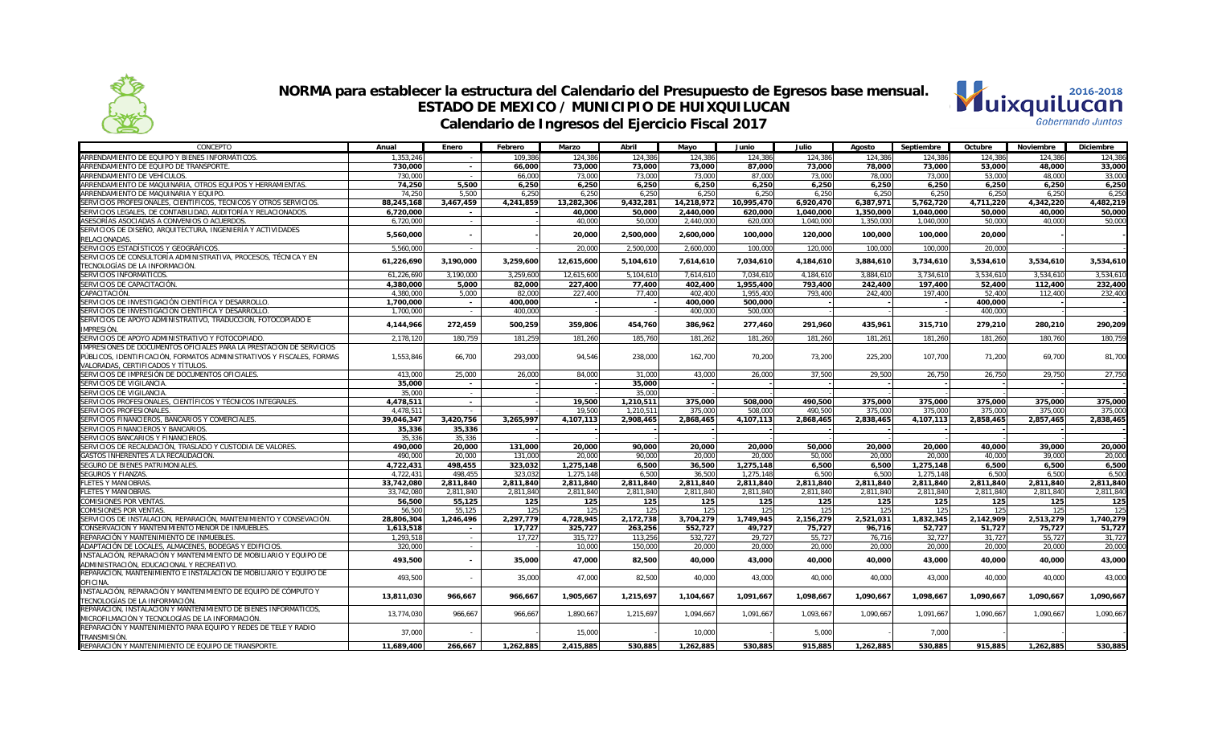



| CONCEPTO                                                              | Anual      | Enero          | Febrero   | Marzo      | Abril     | Mayo       | Junio      | Julio     | Agosto    | Septiembre | Octubre   | Noviembre | Diciembre |
|-----------------------------------------------------------------------|------------|----------------|-----------|------------|-----------|------------|------------|-----------|-----------|------------|-----------|-----------|-----------|
| ARRENDAMIENTO DE EQUIPO Y BIENES INFORMÁTICOS                         | 1.353.246  | $\sim$         | 109.386   | 124.386    | 124.386   | 124.386    | 124.386    | 124.386   | 124.386   | 124.386    | 124.386   | 124.386   | 124.386   |
| ARRENDAMIENTO DE EQUIPO DE TRANSPORTE.                                | 730.000    | $\sim$         | 66.000    | 73,000     | 73,000    | 73,000     | 87.000     | 73.000    | 78,000    | 73,000     | 53,000    | 48.000    | 33,000    |
| ARRENDAMIENTO DE VEHÍCULOS.                                           | 730,000    | $\sim$         | 66,000    | 73,000     | 73,000    | 73,000     | 87,000     | 73,000    | 78,000    | 73,000     | 53,000    | 48,000    | 33,000    |
| ARRENDAMIENTO DE MAQUINARIA, OTROS EQUIPOS Y HERRAMIENTAS             | 74,250     | 5,500          | 6.250     | 6,250      | 6,250     | 6,250      | 6,250      | 6,250     | 6,250     | 6,250      | 6,250     | 6,250     | 6,250     |
| ARRENDAMIENTO DE MAQUINARIA Y EQUIPO.                                 | 74.250     | 5.500          | 6.250     | 6,250      | 6,250     | 6,250      | 6,250      | 6,250     | 6,250     | 6,250      | 6,250     | 6,250     | 6,250     |
| SERVICIOS PROFESIONALES, CIENTÍFICOS, TÉCNICOS Y OTROS SERVICIOS      | 88,245,168 | 3,467,459      | 4,241,859 | 13,282,306 | 9,432,281 | 14,218,972 | 10,995,470 | 6,920,470 | 6,387,971 | 5,762,720  | 4,711,220 | 4,342,220 | 4,482,219 |
| SERVICIOS LEGALES. DE CONTABILIDAD. AUDITORÍA Y RELACIONADOS.         | 6.720.000  | $\sim$         |           | 40.000     | 50.000    | 2.440.000  | 620.000    | 1.040.000 | 1.350.000 | 1.040.000  | 50.000    | 40.000    | 50.000    |
| ASESORÍAS ASOCIADAS A CONVENIOS O ACUERDOS                            | 6.720.000  | $\sim$         |           | 40.000     | 50.000    | 2.440.000  | 620.000    | 1,040,000 | 1.350.000 | 1.040.000  | 50.000    | 40.000    | 50.000    |
| SERVICIOS DE DISEÑO, ARQUITECTURA, INGENIERÍA Y ACTIVIDADES           |            |                |           |            |           |            |            |           |           |            |           |           |           |
| RELACIONADAS.                                                         | 5,560,000  |                |           | 20,000     | 2,500,000 | 2,600,000  | 100.000    | 120,000   | 100,000   | 100,000    | 20,000    |           |           |
| SERVICIOS ESTADÍSTICOS Y GEOGRÁFICOS.                                 | 5,560,000  | $\sim$         |           | 20,000     | 2,500,000 | 2,600,000  | 100,000    | 120,000   | 100,000   | 100,000    | 20,000    |           |           |
| SERVICIOS DE CONSULTORÍA ADMINISTRATIVA, PROCESOS, TÉCNICA Y EN       |            |                |           | 12,615,600 |           |            |            |           |           |            |           |           |           |
| TECNOLOGÍAS DE LA INFORMACIÓN.                                        | 61,226,690 | 3,190,000      | 3,259,600 |            | 5,104,610 | 7,614,610  | 7,034,610  | 4,184,610 | 3,884,610 | 3,734,610  | 3,534,610 | 3,534,610 | 3,534,610 |
| SERVICIOS INFORMÁTICOS.                                               | 61,226,690 | 3.190.000      | 3.259.600 | 12.615.600 | 5.104.610 | 7.614.610  | 7.034.610  | 4.184.610 | 3.884.610 | 3.734.610  | 3.534.610 | 3.534.610 | 3.534.610 |
| SERVICIOS DE CAPACITACIÓN                                             | 4,380,000  | 5,000          | 82.000    | 227,400    | 77,400    | 402,400    | 1,955,400  | 793,400   | 242,400   | 197,400    | 52,400    | 112,400   | 232.400   |
| CAPACITACIÓN.                                                         | 4,380,000  | 5,000          | 82,000    | 227,400    | 77,400    | 402,400    | 1,955,400  | 793,400   | 242,400   | 197,400    | 52,400    | 112,400   | 232,400   |
| SERVICIOS DE INVESTIGACIÓN CIENTÍFICA Y DESARROLLO.                   | 1,700,000  | $\sim$         | 400,000   |            |           | 400,000    | 500,000    |           |           |            | 400,000   |           |           |
| SERVICIOS DE INVESTIGACIÓN CIENTÍFICA Y DESARROLLO.                   | 1,700,000  | $\sim$         | 400,000   |            |           | 400,000    | 500,000    |           |           |            | 400,000   |           |           |
| SERVICIOS DE APOYO ADMINISTRATIVO, TRADUCCIÓN, FOTOCOPIADO E          |            |                |           |            |           |            |            |           |           |            |           |           |           |
| IMPRESIÓN                                                             | 4,144,966  | 272,459        | 500,259   | 359,806    | 454,760   | 386,962    | 277,460    | 291,960   | 435,961   | 315,710    | 279,210   | 280,210   | 290,209   |
| SERVICIOS DE APOYO ADMINISTRATIVO Y FOTOCOPIADO.                      | 2,178,120  | 180.759        | 181.259   | 181,260    | 185,760   | 181,262    | 181,260    | 181.260   | 181.261   | 181.260    | 181,260   | 180,760   | 180.759   |
| IMPRESIONES DE DOCUMENTOS OFICIALES PARA LA PRESTACIÓN DE SERVICIOS   |            |                |           |            |           |            |            |           |           |            |           |           |           |
| PÚBLICOS, IDENTIFICACIÓN, FORMATOS ADMINISTRATIVOS Y FISCALES, FORMAS | 1,553,846  | 66,700         | 293,000   | 94,546     | 238,000   | 162,700    | 70,200     | 73,200    | 225,200   | 107,700    | 71,200    | 69,700    | 81,700    |
| VALORADAS, CERTIFICADOS Y TÍTULOS.                                    |            |                |           |            |           |            |            |           |           |            |           |           |           |
| SERVICIOS DE IMPRESIÓN DE DOCUMENTOS OFICIALES.                       | 413.000    | 25,000         | 26,000    | 84.000     | 31,000    | 43.000     | 26.000     | 37.500    | 29,500    | 26.750     | 26,750    | 29.750    | 27,750    |
| SERVICIOS DE VIGILANCIA.                                              | 35,000     | $\sim$         |           |            | 35,000    |            |            |           |           |            |           |           |           |
| SERVICIOS DE VIGILANCIA.                                              | 35,000     | $\sim$         |           |            | 35,000    |            |            |           |           |            |           |           |           |
| SERVICIOS PROFESIONALES, CIENTÍFICOS Y TÉCNICOS INTEGRALES            | 4,478,511  | $\sim$         |           | 19,500     | 1,210,511 | 375,000    | 508,000    | 490.500   | 375,000   | 375.000    | 375,000   | 375,000   | 375,000   |
| SERVICIOS PROFESIONALES                                               | 4,478,511  | $\sim$         |           | 19.500     | 1,210,511 | 375,000    | 508.000    | 490.500   | 375,000   | 375,000    | 375,000   | 375,000   | 375,000   |
| SERVICIOS FINANCIEROS. BANCARIOS Y COMERCIALES.                       | 39,046,347 | 3,420,756      | 3.265.997 | 4,107,113  | 2,908,465 | 2,868,465  | 4,107,113  | 2,868,465 | 2,838,465 | 4,107,113  | 2,858,465 | 2,857,465 | 2.838.465 |
| SERVICIOS FINANCIEROS Y BANCARIOS.                                    | 35,336     | 35,336         |           |            |           |            |            |           |           |            |           |           |           |
| SERVICIOS BANCARIOS Y FINANCIEROS                                     | 35,336     | 35,336         |           |            |           |            |            |           |           |            |           |           |           |
| SERVICIOS DE RECAUDACIÓN, TRASLADO Y CUSTODIA DE VALORES              | 490,000    | 20,000         | 131,000   | 20,000     | 90,000    | 20,000     | 20,000     | 50,000    | 20,000    | 20,000     | 40,000    | 39,000    | 20,000    |
| GASTOS INHERENTES A LA RECAUDACIÓN                                    | 490,000    | 20,000         | 131.000   | 20,000     | 90.000    | 20,000     | 20,000     | 50.000    | 20,000    | 20,000     | 40.000    | 39.000    | 20,000    |
| SEGURO DE BIENES PATRIMONIALES                                        | 4,722,431  | 498,455        | 323,032   | 1,275,148  | 6,500     | 36,500     | 1,275,148  | 6,500     | 6,500     | 1,275,148  | 6,500     | 6,500     | 6,500     |
| SEGUROS Y FIANZAS.                                                    | 4,722,431  | 498,455        | 323.032   | 1,275,148  | 6,500     | 36,500     | 1,275,148  | 6.500     | 6,500     | 1,275,148  | 6,500     | 6,500     | 6,500     |
| <b>FLETES Y MANIOBRAS</b>                                             | 33,742,080 | 2,811,840      | 2.811.840 | 2,811,840  | 2,811,840 | 2,811,840  | 2,811,840  | 2,811,840 | 2.811.840 | 2,811,840  | 2,811,840 | 2,811,840 | 2,811,840 |
| <b>FLETES Y MANIOBRAS</b>                                             | 33,742,080 | 2,811,840      | 2,811,840 | 2,811,840  | 2,811,840 | 2,811,840  | 2,811,840  | 2,811,840 | 2,811,840 | 2,811,840  | 2,811,840 | 2,811,840 | 2,811,840 |
| <b>COMISIONES POR VENTAS</b>                                          | 56,500     | 55,125         | 125       | 125        | 125       | 125        | 125        | 125       | 125       | 125        | 125       | 125       | 125       |
| <b>COMISIONES POR VENTAS</b>                                          | 56,500     | 55,125         | 125       | 125        | 125       | 125        | 125        | 125       | 125       | 125        | 125       | 125       | 125       |
| SERVICIOS DE INSTALACION, REPARACIÓN, MANTENIMIENTO Y CONSEVACIÓN     | 28,806,304 | 1,246,496      | 2.297.779 | 4,728,945  | 2,172,738 | 3,704,279  | 1.749.945  | 2.156.279 | 2.521.031 | 1.832.345  | 2.142.909 | 2,513,279 | 1.740.279 |
| CONSERVACIÓN Y MANTENIMIENTO MENOR DE INMUEBLES                       | 1,613,518  | $\sim$         | 17,727    | 325,727    | 263,256   | 552,727    | 49,727     | 75,727    | 96.716    | 52,727     | 51,727    | 75,727    | 51,727    |
| REPARACIÓN Y MANTENIMIENTO DE INMUEBLES                               | 1,293,518  | $\sim$         | 17.727    | 315,727    | 113,256   | 532,727    | 29,727     | 55.727    | 76.716    | 32,727     | 31,727    | 55.727    | 31,727    |
| ADAPTACIÓN DE LOCALES, ALMACENES, BODEGAS Y EDIFICIOS                 | 320,000    | $\sim$         |           | 10,000     | 150,000   | 20,000     | 20,000     | 20,000    | 20,000    | 20,000     | 20,000    | 20,000    | 20,000    |
| INSTALACIÓN, REPARACIÓN Y MANTENIMIENTO DE MOBILIARIO Y EQUIPO DE     | 493,500    | $\blacksquare$ | 35,000    | 47,000     | 82,500    | 40,000     | 43,000     | 40,000    | 40,000    | 43,000     | 40,000    | 40,000    | 43,000    |
| ADMINISTRACIÓN, EDUCACIONAL Y RECREATIVO.                             |            |                |           |            |           |            |            |           |           |            |           |           |           |
| REPARACIÓN. MANTENIMIENTO E INSTALACIÓN DE MOBILIARIO Y EQUIPO DE     | 493,500    |                | 35,000    | 47,000     | 82,500    | 40,000     | 43,000     | 40,000    | 40,000    | 43,000     | 40,000    | 40,000    | 43,000    |
| OFICINA.                                                              |            |                |           |            |           |            |            |           |           |            |           |           |           |
| INSTALACIÓN, REPARACIÓN Y MANTENIMIENTO DE EQUIPO DE CÓMPUTO Y        | 13,811,030 | 966,667        | 966,667   | 1,905,667  | 1,215,697 | 1,104,667  | 1,091,667  | 1,098,667 | 1,090,667 | 1,098,667  | 1,090,667 | 1,090,667 | 1,090,667 |
| TECNOLOGÍAS DE LA INFORMACIÓN.                                        |            |                |           |            |           |            |            |           |           |            |           |           |           |
| REPARACIÓN, INSTALACIÓN Y MANTENIMIENTO DE BIENES INFORMÁTICOS,       | 13,774,030 | 966,667        | 966,667   | 1,890,667  | 1,215,697 | 1,094,667  | 1,091,667  | 1,093,667 | 1,090,667 | 1,091,667  | 1,090,667 | 1,090,667 | 1,090,667 |
| MICROFILMACIÓN Y TECNOLOGÍAS DE LA INFORMACIÓN                        |            |                |           |            |           |            |            |           |           |            |           |           |           |
| REPARACIÓN Y MANTENIMIENTO PARA EQUIPO Y REDES DE TELE Y RADIO        | 37,000     |                |           | 15,000     |           | 10,000     |            | 5,000     |           | 7,000      |           |           |           |
| <b>TRANSMISIÓN</b>                                                    |            |                |           |            |           |            |            |           |           |            |           |           |           |
| REPARACIÓN Y MANTENIMIENTO DE EQUIPO DE TRANSPORTE                    | 11,689,400 | 266.667        | 1.262.885 | 2.415.885  | 530.885   | 1.262.885  | 530.885    | 915.885   | 1.262.885 | 530.885    | 915.885   | 1.262.885 | 530.885   |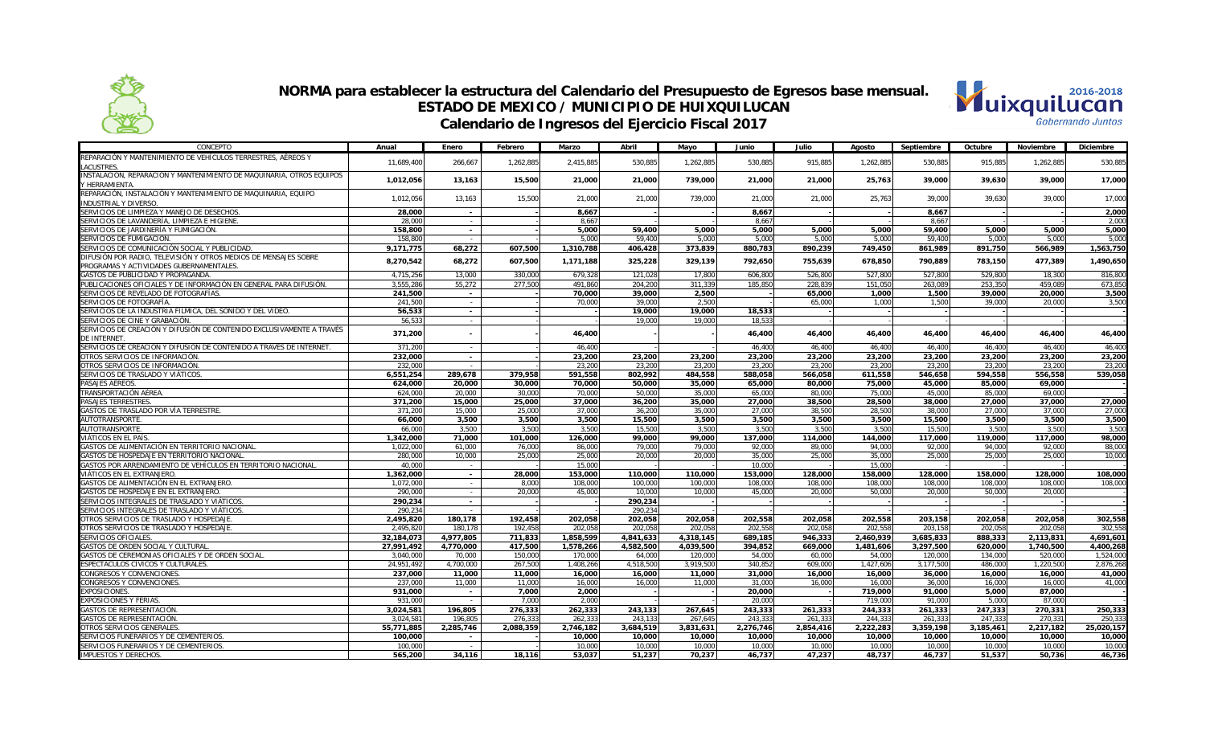

#### **NORMA para establecer la estructura del Calendario del Presupuesto de Egresos base mensual. ESTADO DE MEXICO / MUNICIPIO DE HUIXQUILUCAN Calendario de Ingresos del Ejercicio Fiscal 2017**



| CONCEPTO                                                                                 | Anual              | Enero                    | Febrero         | Marzo            | Abril            | Mayo             | Junio            | Julio            | Agosto           | Septiembre       | Octubre          | Noviembre        | Diciembre        |
|------------------------------------------------------------------------------------------|--------------------|--------------------------|-----------------|------------------|------------------|------------------|------------------|------------------|------------------|------------------|------------------|------------------|------------------|
| REPARACIÓN Y MANTENIMIENTO DE VEHÍCULOS TERRESTRES, AÉREOS Y                             | 11,689,400         | 266,667                  | 1,262,885       | 2,415,885        | 530,885          | 1,262,885        | 530,885          | 915,885          | 1,262,885        | 530,885          | 915,885          | 1,262,885        | 530.885          |
| <b>LACUSTRES</b><br>INSTALACIÓN, REPARACIÓN Y MANTENIMIENTO DE MAQUINARIA, OTROS EQUIPOS |                    |                          |                 |                  |                  |                  |                  |                  |                  |                  |                  |                  |                  |
| Y HERRAMIENTA                                                                            | 1,012,056          | 13,163                   | 15,500          | 21,000           | 21,000           | 739,000          | 21,000           | 21,000           | 25,763           | 39,000           | 39,630           | 39,000           | 17,000           |
| REPARACIÓN, INSTALACIÓN Y MANTENIMIENTO DE MAQUINARIA, EQUIPO                            |                    |                          |                 |                  |                  |                  |                  |                  |                  |                  |                  |                  |                  |
| <b>INDUSTRIAL Y DIVERSO</b>                                                              | 1,012,056          | 13,163                   | 15,500          | 21,000           | 21,000           | 739,000          | 21,000           | 21,000           | 25,763           | 39,000           | 39,630           | 39,000           | 17,000           |
| SERVICIOS DE LIMPIEZA Y MANEJO DE DESECHOS.                                              | 28,000             | $\sim$                   |                 | 8,667            |                  |                  | 8,667            |                  |                  | 8,667            |                  |                  | 2,000            |
| SERVICIOS DE LAVANDERÍA, LIMPIEZA E HIGIENE.                                             | 28,000             | $\sim$                   |                 | 8.667            |                  |                  | 8.667            |                  |                  | 8.667            |                  |                  | 2.000            |
| SERVICIOS DE JARDINERÍA Y FUMIGACIÓN.                                                    | 158,800            | $\sim$                   |                 | 5,000            | 59,400           | 5,000            | 5,000            | 5,000            | 5,000            | 59,400           | 5,000            | 5,000            | 5,000            |
| SERVICIOS DE FUMIGACIÓN                                                                  | 158,800            |                          |                 | 5,000            | 59,400           | 5,000            | 5,000            | 5,000            | 5,000            | 59,400           | 5,000            | 5.000            | 5,000            |
| SERVICIOS DE COMUNICACIÓN SOCIAL Y PUBLICIDAD.                                           | 9,171,775          | 68,272                   | 607,500         | 1,310,788        | 406,428          | 373,839          | 880,783          | 890,239          | 749,450          | 861,989          | 891,750          | 566,989          | 1,563,750        |
| DIFUSIÓN POR RADIO, TELEVISIÓN Y OTROS MEDIOS DE MENSAJES SOBRE                          |                    |                          |                 |                  |                  |                  |                  |                  |                  |                  |                  |                  |                  |
| PROGRAMAS Y ACTIVIDADES GUBERNAMENTALES.                                                 | 8,270,542          | 68,272                   | 607,500         | 1,171,188        | 325,228          | 329,139          | 792,650          | 755,639          | 678,850          | 790,889          | 783,150          | 477,389          | 1,490,650        |
| GASTOS DE PUBLICIDAD Y PROPAGANDA.                                                       | 4,715,256          | 13,000                   | 330,000         | 679,328          | 121,028          | 17,800           | 606,800          | 526,800          | 527,800          | 527,800          | 529,800          | 18,300           | 816,800          |
| PUBLICACIONES OFICIALES Y DE INFORMACIÓN EN GENERAL PARA DIFUSIÓN.                       | 3,555,286          | 55.272                   | 277.500         | 491,860          | 204,200          | 311,339          | 185.850          | 228,839          | 151.050          | 263.089          | 253.350          | 459.089          | 673,850          |
| SERVICIOS DE REVELADO DE FOTOGRAFÍAS.                                                    | 241,500            | $\sim$                   |                 | 70,000           | 39,000           | 2,500            |                  | 65,000           | 1,000            | 1,500            | 39,000           | 20,000           | 3,500            |
| SERVICIOS DE FOTOGRAFÍA                                                                  | 241.500            | $\sim$                   |                 | 70,000           | 39,000           | 2,500            |                  | 65,000           | 1.000            | 1,500            | 39,000           | 20,000           | 3,500            |
| SERVICIOS DE LA INDUSTRIA FÍLMICA, DEL SONIDO Y DEL VIDEO.                               | 56,533             | $\sim$                   |                 |                  | 19,000           | 19,000           | 18.533           |                  |                  |                  |                  |                  |                  |
| SERVICIOS DE CINE Y GRABACIÓN                                                            | 56,533             | $\sim$                   |                 |                  | 19,000           | 19,000           | 18,533           |                  |                  |                  |                  |                  |                  |
| SERVICIOS DE CREACIÓN Y DIFUSIÓN DE CONTENIDO EXCLUSIVAMENTE A TRAVÉS                    | 371,200            | $\overline{\phantom{a}}$ |                 | 46,400           |                  |                  | 46,400           | 46,400           | 46,400           | 46,400           | 46,400           | 46,400           | 46,400           |
| <b>DE INTERNET</b>                                                                       |                    |                          |                 |                  |                  |                  |                  |                  |                  |                  |                  |                  |                  |
| SERVICIOS DE CREACIÓN Y DIFUSIÓN DE CONTENIDO A TRAVÉS DE INTERNET                       | 371,200            | $\sim$                   |                 | 46,400           |                  |                  | 46,400           | 46,400           | 46,400           | 46,400           | 46,400           | 46,400           | 46,400           |
| OTROS SERVICIOS DE INFORMACIÓN                                                           | 232,000            | $\sim$                   |                 | 23,200           | 23,200           | 23,200           | 23,200           | 23,200           | 23,200           | 23,200           | 23,200           | 23,200           | 23,200           |
| OTROS SERVICIOS DE INFORMACIÓN                                                           | 232,000            | $\sim$                   |                 | 23,200           | 23,200           | 23,200           | 23,200           | 23,200           | 23,200           | 23,200           | 23,200           | 23,200           | 23,200           |
| SERVICIOS DE TRASLADO Y VIÁTICOS                                                         | 6,551,254          | 289,678                  | 379,958         | 591,558          | 802,992          | 484,558          | 588,058          | 566,058          | 611,558          | 546,658          | 594,558          | 556,558          | 539,058          |
| PASAJES AÉREOS.                                                                          | 624,000            | 20,000                   | 30,000          | 70,000           | 50,000           | 35,000           | 65,000           | 80,000           | 75,000           | 45,000           | 85,000           | 69,000           |                  |
| TRANSPORTACIÓN AÉREA                                                                     | 624,000            | 20,000                   | 30.000          | 70.000           | 50,000           | 35,000           | 65,000           | 80.000           | 75,000           | 45,000           | 85,000           | 69.000           |                  |
| PASAJES TERRESTRES.<br>GASTOS DE TRASLADO POR VÍA TERRESTRE                              | 371.200            | 15,000                   | 25,000          | 37.000           | 36,200           | 35,000           | 27.000           | 38,500           | 28,500           | 38,000           | 27.000           | 37,000           | 27.000           |
| AUTOTRANSPORTE                                                                           | 371,200<br>66,000  | 15,000<br>3,500          | 25,000<br>3,500 | 37.000<br>3,500  | 36,200<br>15,500 | 35,000<br>3,500  | 27,000<br>3,500  | 38,500<br>3.500  | 28,500<br>3,500  | 38,000<br>15,500 | 27,000<br>3,500  | 37.000<br>3,500  | 27.000<br>3,500  |
| <b>AUTOTRANSPORTE</b>                                                                    | 66,000             | 3,500                    | 3,500           | 3,500            | 15,500           | 3,500            | 3,500            | 3,500            | 3,500            | 15,500           | 3,500            | 3,500            | 3,500            |
| VIÁTICOS EN EL PAÍS                                                                      | 1,342,000          | 71,000                   | 101,000         | 126,000          | 99,000           | 99,000           | 137,000          | 114.000          | 144,000          | 117,000          | 119,000          | 117,000          | 98,000           |
| GASTOS DE ALIMENTACIÓN EN TERRITORIO NACIONAL                                            | 1,022,000          | 61,000                   | 76,000          | 86,000           | 79,000           | 79,000           | 92,000           | 89,000           | 94.000           | 92,000           | 94,000           | 92,000           | 88,000           |
| GASTOS DE HOSPEDAJE EN TERRITORIO NACIONAL                                               | 280,000            | 10,000                   | 25,000          | 25,000           | 20,000           | 20,000           | 35,000           | 25,000           | 35,000           | 25,000           | 25,000           | 25,000           | 10,000           |
| GASTOS POR ARRENDAMIENTO DE VEHÍCULOS EN TERRITORIO NACIONAL                             | 40,000             | $\sim$                   |                 | 15,000           |                  |                  | 10,000           |                  | 15,000           |                  |                  |                  |                  |
| VIÁTICOS EN EL EXTRANJERO.                                                               | 1,362,000          | $\sim$                   | 28,000          | 153,000          | 110,000          | 110,000          | 153,000          | 128.000          | 158,000          | 128,000          | 158,000          | 128,000          | 108,000          |
| GASTOS DE ALIMENTACIÓN EN EL EXTRANJERO                                                  | 1,072,000          | $\sim$                   | 8.000           | 108,000          | 100,000          | 100,000          | 108,000          | 108,000          | 108,000          | 108,000          | 108,000          | 108,000          | 108,000          |
| GASTOS DE HOSPEDAJE EN EL EXTRANJERO.                                                    | 290,000            | $\sim$                   | 20,000          | 45,000           | 10,000           | 10,000           | 45,000           | 20,000           | 50,000           | 20,000           | 50,000           | 20,000           |                  |
| SERVICIOS INTEGRALES DE TRASLADO Y VIÁTICOS                                              | 290,234            | $\sim$                   |                 |                  | 290,234          |                  |                  |                  |                  |                  |                  |                  |                  |
| SERVICIOS INTEGRALES DE TRASLADO Y VIÁTICOS                                              | 290,234            | $\sim$                   |                 |                  | 290,234          |                  |                  |                  |                  |                  |                  |                  |                  |
| OTROS SERVICIOS DE TRASLADO Y HOSPEDAJE                                                  | 2,495,820          | 180,178                  | 192.458         | 202.058          | 202,058          | 202,058          | 202,558          | 202.058          | 202.558          | 203,158          | 202,058          | 202,058          | 302,558          |
| OTROS SERVICIOS DE TRASLADO Y HOSPEDAJE.                                                 | 2,495,820          | 180.178                  | 192.458         | 202.058          | 202,058          | 202,058          | 202.558          | 202.058          | 202.558          | 203.158          | 202.058          | 202.058          | 302.558          |
| SERVICIOS OFICIALES.                                                                     | 32,184,073         | 4,977,805                | 711,833         | 1,858,599        | 4,841,633        | 4,318,145        | 689,185          | 946,333          | 2,460,939        | 3,685,833        | 888,333          | 2,113,831        | 4,691,601        |
| GASTOS DE ORDEN SOCIAL Y CULTURAL                                                        | 27,991,492         | 4,770,000                | 417,500         | 1,578,266        | 4,582,500        | 4,039,500        | 394,852          | 669,000          | 1,481,606        | 3,297,500        | 620,000          | 1,740,500        | 4,400,268        |
| GASTOS DE CEREMONIAS OFICIALES Y DE ORDEN SOCIAL                                         | 3,040,000          | 70,000                   | 150,000         | 170,000          | 64,000           | 120,000          | 54,000           | 60,000           | 54,000           | 120,000          | 134,000          | 520,000          | 1,524,000        |
| ESPECTÁCULOS CÍVICOS Y CULTURALES.                                                       | 24,951,492         | 4,700,000                | 267,500         | 1,408,266        | 4,518,500        | 3,919,500        | 340,852          | 609,000          | 1,427,606        | 3,177,500        | 486,000          | 1,220,500        | 2,876,268        |
| CONGRESOS Y CONVENCIONES                                                                 | 237,000            | 11,000                   | 11,000          | 16,000           | 16,000           | 11,000           | 31,000           | 16.000           | 16,000           | 36,000           | 16,000           | 16,000           | 41,000           |
| CONGRESOS Y CONVENCIONES                                                                 | 237,000            | 11,000                   | 11,000          | 16,000           | 16,000           | 11,000           | 31,000           | 16,000           | 16,000           | 36,000           | 16,000           | 16,000           | 41,000           |
| <b>EXPOSICIONES.</b>                                                                     | 931,000            | $\overline{\phantom{a}}$ | 7.000           | 2,000            |                  |                  | 20,000           |                  | 719,000          | 91,000           | 5,000            | 87,000           |                  |
| <b>EXPOSICIONES Y FERIAS.</b>                                                            | 931,000            |                          | 7.000           | 2,000            |                  |                  | 20,000           |                  | 719,000          | 91,000           | 5,000            | 87,000           |                  |
| <b>GASTOS DE REPRESENTACIÓN</b>                                                          | 3,024,581          | 196,805                  | 276,333         | 262,333          | 243,133          | 267,645          | 243,333          | 261,333          | 244.333          | 261,333          | 247,333          | 270,331          | 250,333          |
| GASTOS DE REPRESENTACIÓN                                                                 | 3,024,58           | 196,805                  | 276,333         | 262,333          | 243,133          | 267,645          | 243,333          | 261,333          | 244,333          | 261,333          | 247,333          | 270,331          | 250,33           |
| OTROS SERVICIOS GENERALES                                                                | 55,771,885         | 2,285,746                | 2,088,359       | 2,746,182        | 3,684,519        | 3,831,631        | 2,276,746        | 2,854,416        | 2,222,283        | 3,359,198        | 3,185,461        | 2,217,182        | 25,020,157       |
| SERVICIOS FUNERARIOS Y DE CEMENTERIOS.<br>SERVICIOS FUNERARIOS Y DE CEMENTERIOS.         | 100.000<br>100,000 | $\overline{\phantom{a}}$ |                 | 10,000           | 10,000           | 10,000           | 10.000           | 10.000<br>10,000 | 10,000           | 10,000           | 10,000           | 10,000<br>10.000 | 10,000           |
| <b>IMPUESTOS Y DERECHOS.</b>                                                             | 565,200            | $\sim$<br>34.116         | 18.116          | 10,000<br>53.037 | 10.000<br>51,237 | 10,000<br>70.237 | 10,000<br>46,737 | 47.237           | 10,000<br>48.737 | 10,000<br>46,737 | 10,000<br>51,537 | 50,736           | 10,000<br>46,736 |
|                                                                                          |                    |                          |                 |                  |                  |                  |                  |                  |                  |                  |                  |                  |                  |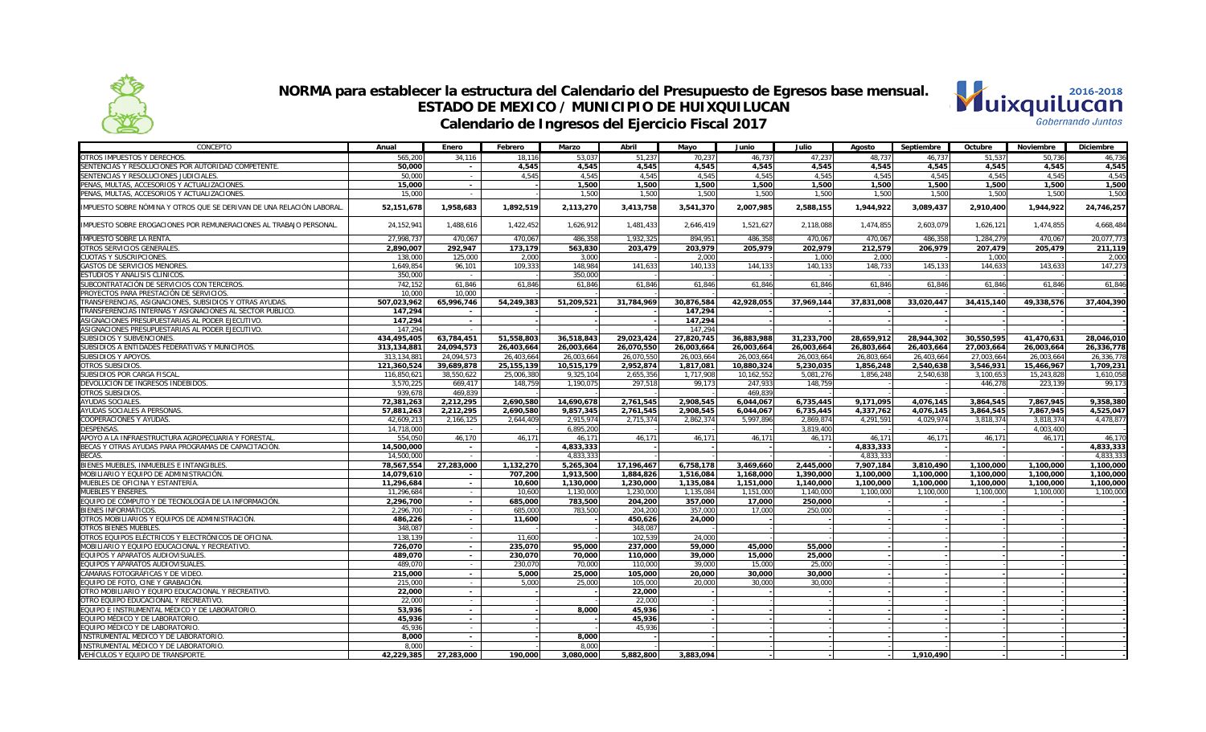



| CONCEPTO                                                             | Anual         | Enero      | Febrero      | Marzo      | Abril      | Mayo       | Junio      | Julio      | Agosto     | Septiembre | Octubre    | <b>Noviembre</b> | Diciembre  |
|----------------------------------------------------------------------|---------------|------------|--------------|------------|------------|------------|------------|------------|------------|------------|------------|------------------|------------|
| OTROS IMPUESTOS Y DERECHOS.                                          | 565.200       | 34.116     | 18.116       | 53.037     | 51,237     | 70.237     | 46.737     | 47.237     | 48.737     | 46.737     | 51.537     | 50.736           | 46,736     |
| SENTENCIAS Y RESOLUCIONES POR AUTORIDAD COMPETENTE.                  | 50.000        | $\sim$     | 4.545        | 4.545      | 4.545      | 4.545      | 4.545      | 4.545      | 4.545      | 4.545      | 4.545      | 4.545            | 4.545      |
| SENTENCIAS Y RESOLUCIONES JUDICIALES                                 | 50,000        | $\sim$     | 4,545        | 4,545      | 4.545      | 4,545      | 4,545      | 4,545      | 4,545      | 4,545      | 4,545      | 4.545            | 4,545      |
| PENAS, MULTAS, ACCESORIOS Y ACTUALIZACIONES.                         | 15,000        | $\sim$     |              | 1,500      | 1,500      | 1,500      | 1,500      | 1,500      | 1,500      | 1,500      | 1,500      | 1,500            | 1,500      |
| PENAS, MULTAS, ACCESORIOS Y ACTUALIZACIONES.                         | 15,000        | $\sim$     |              | 1,500      | 1,500      | 1,500      | 1,500      | 1,500      | 1,500      | 1,500      | 1,500      | 1,500            | 1,500      |
| IMPUESTO SOBRE NÓMINA Y OTROS QUE SE DERIVAN DE UNA RELACIÓN LABORAL | 52,151,678    | 1,958,683  | 1.892.519    | 2,113,270  | 3,413,758  | 3,541,370  | 2,007,985  | 2,588,155  | 1,944,922  | 3,089,437  | 2,910,400  | 1,944,922        | 24,746,257 |
| IMPUESTO SOBRE EROGACIONES POR REMUNERACIONES AL TRABAJO PERSONAL    | 24, 152, 941  | 1,488,616  | 1,422,452    | 1,626,912  | 1,481,433  | 2,646,419  | 1,521,627  | 2,118,088  | 1,474,855  | 2,603,079  | 1,626,121  | 1,474,855        | 4,668,484  |
| <b>IMPUESTO SOBRE LA RENTA.</b>                                      | 27.998.737    | 470.067    | 470.067      | 486.358    | 1.932.325  | 894.951    | 486.358    | 470.067    | 470.067    | 486.358    | 1.284.279  | 470.067          | 20.077.773 |
| OTROS SERVICIOS GENERALES                                            | 2,890,007     | 292,947    | 173,179      | 563,830    | 203,479    | 203,979    | 205,979    | 202,979    | 212,579    | 206,979    | 207,479    | 205,479          | 211,119    |
| CUOTAS Y SUSCRIPCIONES.                                              | 138,000       | 125,000    | 2,000        | 3,000      |            | 2,000      |            | 1,000      | 2,000      |            | 1,000      |                  | 2,000      |
| GASTOS DE SERVICIOS MENORES.                                         | 1.649.854     | 96.101     | 109.333      | 148.984    | 141.633    | 140.133    | 144.133    | 140.133    | 148.733    | 145.133    | 144.633    | 143.633          | 147.273    |
| STUDIOS Y ANÁLISIS CLÍNICOS.                                         | 350.000       |            |              | 350.000    |            |            |            |            |            |            |            |                  |            |
| SUBCONTRATACIÓN DE SERVICIOS CON TERCEROS.                           | 742.152       | 61,846     | 61.846       | 61.846     | 61.846     | 61.846     | 61.846     | 61.846     | 61,846     | 61.846     | 61.846     | 61.846           | 61.846     |
| PROYECTOS PARA PRESTACIÓN DE SERVICIOS.                              | 10,000        | 10.000     |              |            |            |            |            |            |            |            |            |                  |            |
| TRANSFERENCIAS, ASIGNACIONES, SUBSIDIOS Y OTRAS AYUDAS.              | 507,023,962   | 65,996,746 | 54,249,383   | 51,209,521 | 31,784,969 | 30,876,584 | 42,928,055 | 37,969,144 | 37,831,008 | 33,020,447 | 34,415,140 | 49,338,576       | 37,404,390 |
| TRANSFERENCIAS INTERNAS Y ASIGNACIONES AL SECTOR PÚBLICO.            | 147,294       | $\sim$     |              |            |            | 147,294    |            |            |            |            |            |                  |            |
| ASIGNACIONES PRESUPUESTARIAS AL PODER EJECUTIVO.                     | 147,294       | $\sim$     |              |            |            | 147,294    |            |            |            |            |            |                  |            |
| ASIGNACIONES PRESUPUESTARIAS AL PODER EJECUTIVO.                     | 147.294       |            |              |            |            | 147,294    |            |            |            |            |            |                  |            |
| SUBSIDIOS Y SUBVENCIONES.                                            | 434.495.405   | 63,784,451 | 51.558.803   | 36.518.843 | 29.023.424 | 27.820.745 | 36.883.988 | 31.233.700 | 28.659.912 | 28.944.302 | 30.550.595 | 41.470.631       | 28,046,010 |
| SUBSIDIOS A ENTIDADES FEDERATIVAS Y MUNICIPIOS.                      | 313.134.881   | 24.094.573 | 26.403.664   | 26.003.664 | 26.070.550 | 26.003.664 | 26.003.664 | 26.003.664 | 26.803.664 | 26.403.664 | 27.003.664 | 26.003.664       | 26.336.778 |
| SUBSIDIOS Y APOYOS.                                                  | 313, 134, 881 | 24,094,573 | 26,403,664   | 26,003,664 | 26,070,550 | 26,003,664 | 26,003,664 | 26.003.664 | 26,803,664 | 26,403,664 | 27,003,664 | 26,003,664       | 26,336,778 |
| OTROS SUBSIDIOS.                                                     | 121,360,524   | 39,689,878 | 25, 155, 139 | 10,515,179 | 2,952,874  | 1,817,081  | 10,880,324 | 5,230,035  | 1,856,248  | 2,540,638  | 3,546,931  | 15,466,967       | 1,709,231  |
| SUBSIDIOS POR CARGA FISCAL                                           | 116,850,621   | 38,550,622 | 25,006,380   | 9,325,104  | 2,655,356  | 1,717,908  | 10,162,552 | 5,081,276  | 1,856,248  | 2,540,638  | 3,100,653  | 15,243,828       | 1,610,058  |
| DEVOLUCIÓN DE INGRESOS INDEBIDOS                                     | 3.570.225     | 669.417    | 148.759      | 1.190.075  | 297.518    | 99.173     | 247.933    | 148.759    |            |            | 446.278    | 223.139          | 99.173     |
| OTROS SUBSIDIOS.                                                     | 939.678       | 469.839    |              |            |            |            | 469.839    |            |            |            |            |                  |            |
| <b>AYUDAS SOCIALES</b>                                               | 72,381,263    | 2,212,295  | 2,690,580    | 14,690,678 | 2,761,545  | 2,908,545  | 6,044,067  | 6,735,445  | 9,171,095  | 4,076,145  | 3,864,545  | 7,867,945        | 9,358,380  |
| AYUDAS SOCIALES A PERSONAS.                                          | 57,881,263    | 2,212,295  | 2,690,580    | 9,857,345  | 2,761,545  | 2,908,545  | 6,044,067  | 6,735,445  | 4,337,762  | 4,076,145  | 3,864,545  | 7,867,945        | 4,525,047  |
| COOPERACIONES Y AYUDAS                                               | 42,609,213    | 2,166,125  | 2,644,409    | 2,915,974  | 2,715,374  | 2,862,374  | 5,997,896  | 2,869,874  | 4,291,591  | 4,029,974  | 3,818,374  | 3,818,374        | 4,478,877  |
| <b>DESPENSAS.</b>                                                    | 14,718,000    | $\sim$     |              | 6,895,200  |            |            |            | 3.819.400  |            |            |            | 4,003,400        |            |
| APOYO A LA INFRAESTRUCTURA AGROPECUARIA Y FORESTAL                   | 554.050       | 46,170     | 46.171       | 46.171     | 46.171     | 46,171     | 46,171     | 46.171     | 46.171     | 46,171     | 46,171     | 46,171           | 46,170     |
| BECAS Y OTRAS AYUDAS PARA PROGRAMAS DE CAPACITACIÓN.                 | 14,500,000    | $\sim$     |              | 4,833,333  |            |            |            |            | 4,833,333  |            |            |                  | 4,833,333  |
| BFCAS.                                                               | 14.500.000    | $\sim$     |              | 4.833.333  |            |            |            |            | 4.833.333  |            |            |                  | 4.833.333  |
| IENES MUEBLES. INMUEBLES E INTANGIBLES.                              | 78,567,554    | 27,283,000 | 1,132,270    | 5.265.304  | 17.196.467 | 6.758.178  | 3.469.660  | 2.445.000  | 7.907.184  | 3.810.490  | 1.100.000  | 1.100.000        | 1.100.000  |
| MOBILIARIO Y EQUIPO DE ADMINISTRACIÓN.                               | 14,079,610    | $\sim$     | 707,200      | 1,913,500  | 1,884,826  | 1,516,084  | 1,168,000  | 1,390,000  | 1,100,000  | 1,100,000  | 1,100,000  | 1,100,000        | 1,100,000  |
| MUEBLES DE OFICINA Y ESTANTERÍA.                                     | 11,296,684    | $\sim$     | 10,600       | 1,130,000  | 1,230,000  | 1,135,084  | 1,151,000  | 1,140,000  | 1,100,000  | 1,100,000  | 1,100,000  | 1,100,000        | 1,100,000  |
| <b>MUEBLES Y ENSERES</b>                                             | 11.296.684    | $\sim$     | 10.600       | 1.130.000  | 1.230.000  | 1.135.084  | 1.151.000  | 1.140.000  | 1.100.000  | 1.100.000  | 1.100.000  | 1.100.000        | 1.100.000  |
| EQUIPO DE CÓMPUTO Y DE TECNOLOGÍA DE LA INFORMACIÓN.                 | 2,296,700     | $\sim$     | 685.000      | 783,500    | 204,200    | 357.000    | 17.000     | 250,000    |            |            |            |                  |            |
| BIENES INFORMÁTICOS.                                                 | 2,296,700     | $\sim$     | 685,000      | 783,500    | 204,200    | 357,000    | 17,000     | 250,000    |            |            |            |                  |            |
| OTROS MOBILIARIOS Y EQUIPOS DE ADMINISTRACIÓN.                       | 486,226       | $\sim$     | 11.600       |            | 450,626    | 24.000     |            |            |            |            |            |                  |            |
| OTROS BIENES MUEBLES.                                                | 348,087       | $\sim$     |              |            | 348,087    |            |            |            |            |            |            |                  |            |
| OTROS EQUIPOS ELÉCTRICOS Y ELECTRÓNICOS DE OFICINA.                  | 138.139       | $\sim$     | 11.600       |            | 102,539    | 24.000     |            |            |            |            |            |                  |            |
| MOBILIARIO Y EQUIPO EDUCACIONAL Y RECREATIVO                         | 726,070       |            | 235,070      | 95,000     | 237,000    | 59.000     | 45,000     |            |            |            |            |                  |            |
|                                                                      |               | $\sim$     |              |            |            |            |            | 55,000     |            |            |            |                  |            |
| EQUIPOS Y APARATOS AUDIOVISUALES.                                    | 489,070       | $\sim$     | 230.070      | 70.000     | 110,000    | 39,000     | 15,000     | 25.000     |            |            |            |                  |            |
| EQUIPOS Y APARATOS AUDIOVISUALES                                     | 489.070       | $\sim$     | 230.070      | 70.000     | 110.000    | 39,000     | 15,000     | 25,000     |            |            |            |                  |            |
| CÁMARAS FOTOGRÁFICAS Y DE VIDEO.                                     | 215,000       | $\sim$     | 5.000        | 25,000     | 105.000    | 20,000     | 30,000     | 30,000     |            |            |            |                  |            |
| EQUIPO DE FOTO, CINE Y GRABACIÓN.                                    | 215,000       | $\sim$     | 5,000        | 25,000     | 105,000    | 20,000     | 30,000     | 30,000     |            |            |            |                  |            |
| TRO MOBILIARIO Y EQUIPO EDUCACIONAL Y RECREATIVO.                    | 22,000        | $\sim$     |              |            | 22,000     |            |            |            |            |            |            |                  |            |
| OTRO EQUIPO EDUCACIONAL Y RECREATIVO.                                | 22,000        | $\sim$     |              |            | 22,000     |            |            |            |            |            |            |                  |            |
| EQUIPO E INSTRUMENTAL MÉDICO Y DE LABORATORIO.                       | 53,936        | $\sim$     |              | 8,000      | 45,936     |            |            |            |            |            |            |                  |            |
| EQUIPO MÉDICO Y DE LABORATORIO.                                      | 45,936        | $\sim$     |              |            | 45,936     |            |            |            |            |            |            |                  |            |
| EQUIPO MÉDICO Y DE LABORATORIO.                                      | 45.936        | $\sim$     |              |            | 45.936     |            |            |            |            |            |            |                  |            |
| INSTRUMENTAL MÉDICO Y DE LABORATORIO.                                | 8,000         | $\sim$     |              | 8,000      |            |            |            |            |            |            |            |                  |            |
| INSTRUMENTAL MÉDICO Y DE LABORATORIO.                                | 8.000         |            |              | 8.000      |            |            |            |            |            |            |            |                  |            |
| VEHÍCULOS Y EQUIPO DE TRANSPORTE.                                    | 42,229,385    | 27,283,000 | 190.000      | 3,080,000  | 5,882,800  | 3,883,094  |            |            |            | 1,910,490  |            |                  |            |